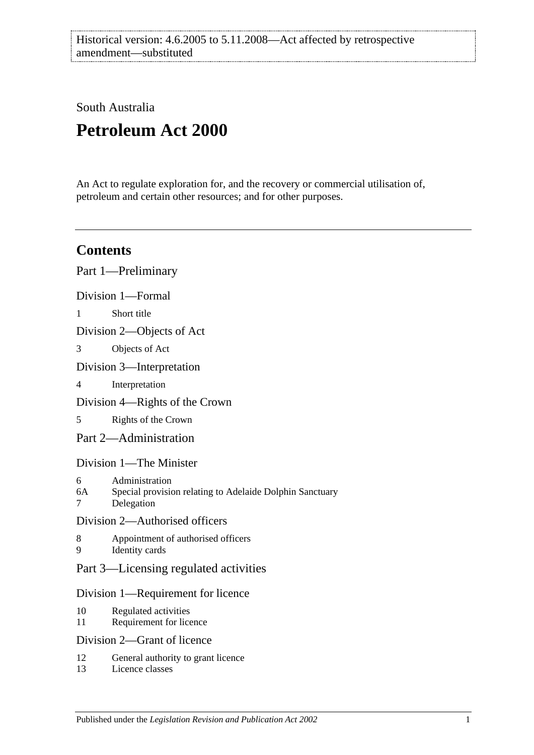South Australia

# **Petroleum Act 2000**

An Act to regulate exploration for, and the recovery or commercial utilisation of, petroleum and certain other resources; and for other purposes.

## **Contents**

[Part 1—Preliminary](#page-5-0) [Division 1—Formal](#page-5-1) 1 [Short title](#page-5-2) [Division 2—Objects of Act](#page-6-0) 3 [Objects of Act](#page-6-1) [Division 3—Interpretation](#page-6-2) 4 [Interpretation](#page-6-3) [Division 4—Rights of the Crown](#page-10-0) 5 [Rights of the Crown](#page-10-1) [Part 2—Administration](#page-10-2) [Division 1—The Minister](#page-10-3) 6 [Administration](#page-10-4) 6A [Special provision relating to Adelaide Dolphin Sanctuary](#page-10-5) 7 [Delegation](#page-10-6) [Division 2—Authorised officers](#page-11-0) 8 [Appointment of authorised officers](#page-11-1) 9 [Identity cards](#page-11-2) [Part 3—Licensing regulated activities](#page-11-3) [Division 1—Requirement for licence](#page-11-4) 10 [Regulated activities](#page-11-5) 11 [Requirement for licence](#page-12-0) [Division 2—Grant of licence](#page-12-1) 12 [General authority to grant licence](#page-12-2)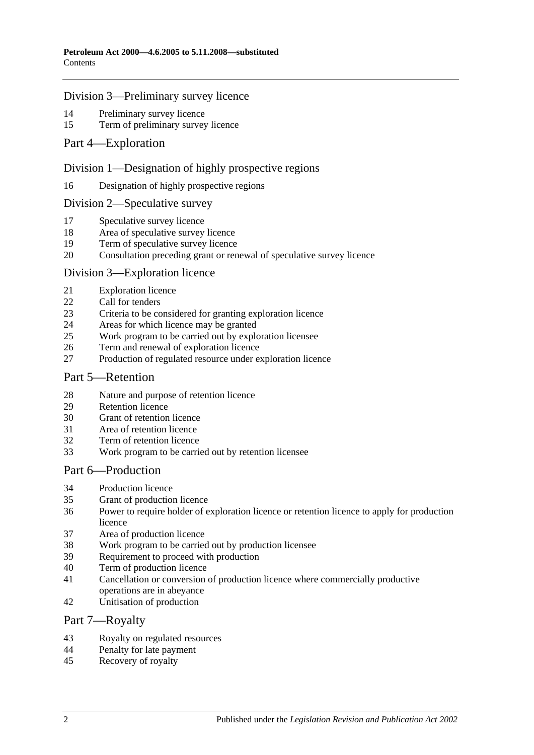#### [Division 3—Preliminary survey licence](#page-13-1)

- [Preliminary survey licence](#page-13-2)<br>15 Term of preliminary survey
- [Term of preliminary survey licence](#page-13-3)
- [Part 4—Exploration](#page-13-4)

#### [Division 1—Designation of highly prospective regions](#page-13-5)

[Designation of highly prospective regions](#page-13-6)

#### [Division 2—Speculative survey](#page-14-0)

- [Speculative survey licence](#page-14-1)
- [Area of speculative survey licence](#page-14-2)
- [Term of speculative survey licence](#page-14-3)
- [Consultation preceding grant or renewal of speculative survey licence](#page-14-4)

#### [Division 3—Exploration licence](#page-14-5)

- [Exploration licence](#page-14-6)
- [Call for tenders](#page-15-0)
- [Criteria to be considered for granting exploration licence](#page-15-1)
- [Areas for which licence may be granted](#page-15-2)
- [Work program to be carried out by exploration licensee](#page-16-0)
- [Term and renewal of exploration licence](#page-16-1)
- [Production of regulated resource under exploration licence](#page-17-0)

#### [Part 5—Retention](#page-17-1)

- [Nature and purpose of retention licence](#page-17-2)<br>29 Retention licence
- [Retention licence](#page-17-3)
- [Grant of retention licence](#page-17-4)
- [Area of retention licence](#page-18-0)
- [Term of retention licence](#page-18-1)
- [Work program to be carried out by retention licensee](#page-18-2)

## [Part 6—Production](#page-18-3)

- [Production licence](#page-18-4)
- [Grant of production licence](#page-19-0)
- [Power to require holder of exploration licence or retention licence to apply for production](#page-19-1)  [licence](#page-19-1)
- [Area of production licence](#page-20-0)
- [Work program to be carried out by production licensee](#page-20-1)
- [Requirement to proceed with production](#page-20-2)
- [Term of production licence](#page-21-0)
- [Cancellation or conversion of production licence where commercially productive](#page-21-1)  [operations are](#page-21-1) in abeyance
- [Unitisation of production](#page-21-2)

#### [Part 7—Royalty](#page-21-3)

- [Royalty on regulated resources](#page-21-4)
- [Penalty for late payment](#page-23-0)
- [Recovery of royalty](#page-23-1)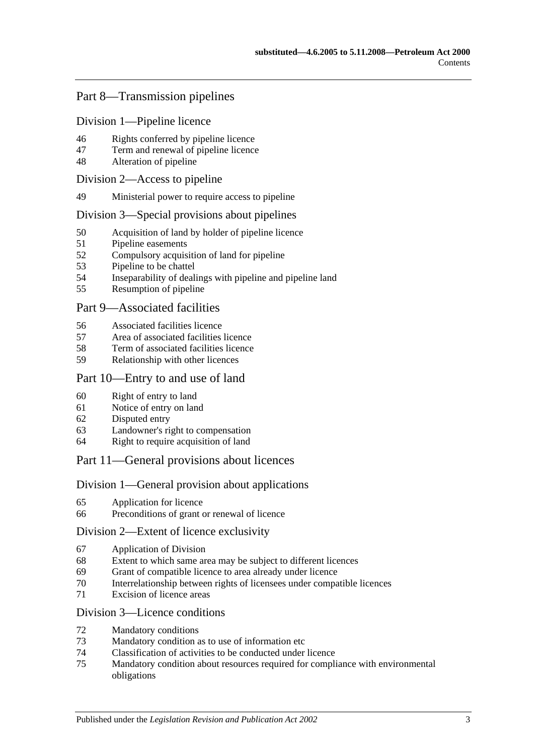## [Part 8—Transmission pipelines](#page-23-2)

[Division 1—Pipeline licence](#page-23-3)

- [Rights conferred by pipeline licence](#page-23-4)
- [Term and renewal of pipeline licence](#page-23-5)
- [Alteration of pipeline](#page-24-0)

#### [Division 2—Access to pipeline](#page-24-1)

[Ministerial power to require access to pipeline](#page-24-2)

#### [Division 3—Special provisions about pipelines](#page-24-3)

- [Acquisition of land by holder of pipeline licence](#page-24-4)
- [Pipeline easements](#page-25-0)
- [Compulsory acquisition of land for pipeline](#page-25-1)
- [Pipeline to be chattel](#page-25-2)
- [Inseparability of dealings with pipeline and pipeline land](#page-25-3)
- [Resumption of pipeline](#page-25-4)

#### [Part 9—Associated facilities](#page-26-0)

- [Associated facilities licence](#page-26-1)
- [Area of associated facilities licence](#page-27-0)
- [Term of associated facilities licence](#page-27-1)
- [Relationship with other licences](#page-27-2)

#### [Part 10—Entry to and use of land](#page-28-0)

- [Right of entry to land](#page-28-1)
- [Notice of entry on land](#page-28-2)
- [Disputed entry](#page-28-3)
- [Landowner's right to compensation](#page-29-0)
- [Right to require acquisition of land](#page-29-1)

#### [Part 11—General provisions about licences](#page-29-2)

#### [Division 1—General provision about applications](#page-29-3)

- [Application for licence](#page-29-4)
- [Preconditions of grant or renewal of licence](#page-30-0)

#### [Division 2—Extent of licence exclusivity](#page-31-0)

- [Application of Division](#page-31-1)
- [Extent to which same area may be subject to different licences](#page-31-2)
- [Grant of compatible licence to area already under licence](#page-31-3)
- [Interrelationship between rights of licensees under compatible licences](#page-31-4)
- [Excision of licence areas](#page-31-5)

#### [Division 3—Licence conditions](#page-32-0)

- [Mandatory conditions](#page-32-1)
- [Mandatory condition as to use of information etc](#page-32-2)
- [Classification of activities to be conducted under licence](#page-32-3)
- [Mandatory condition about resources required for compliance with environmental](#page-32-4)  [obligations](#page-32-4)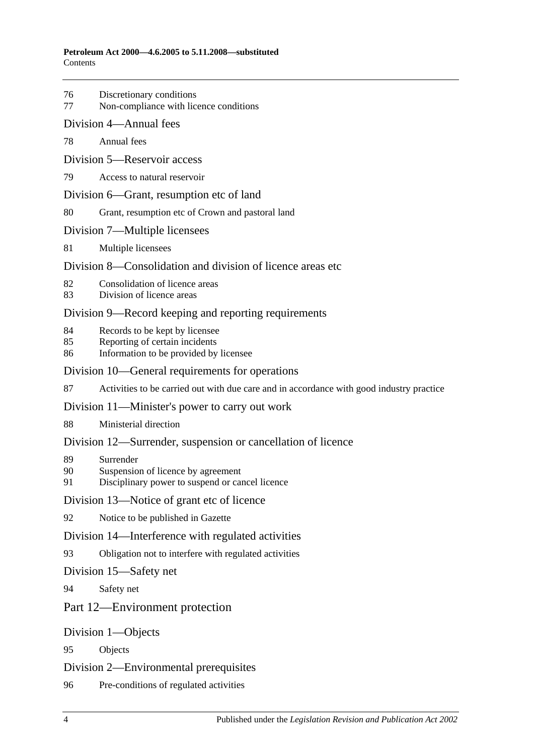- 76 [Discretionary conditions](#page-33-0)
- 77 [Non-compliance with licence conditions](#page-33-1)
- [Division 4—Annual fees](#page-33-2)
- 78 [Annual fees](#page-33-3)
- [Division 5—Reservoir access](#page-33-4)
- 79 [Access to natural reservoir](#page-33-5)
- [Division 6—Grant, resumption etc of land](#page-34-0)
- 80 [Grant, resumption etc of Crown and pastoral land](#page-34-1)
- [Division 7—Multiple licensees](#page-35-0)
- 81 [Multiple licensees](#page-35-1)
- [Division 8—Consolidation and division of licence areas etc](#page-35-2)
- 82 [Consolidation of licence areas](#page-35-3)
- 83 [Division of licence areas](#page-35-4)

#### [Division 9—Record keeping and reporting requirements](#page-36-0)

- 84 [Records to be kept by licensee](#page-36-1)
- 85 [Reporting of certain incidents](#page-36-2)
- 86 [Information to be provided by licensee](#page-36-3)

#### [Division 10—General requirements for operations](#page-37-0)

87 [Activities to be carried out with due care and in accordance with good industry practice](#page-37-1)

#### [Division 11—Minister's power to carry out work](#page-37-2)

88 [Ministerial direction](#page-37-3)

#### [Division 12—Surrender, suspension or cancellation of licence](#page-38-0)

- 89 [Surrender](#page-38-1)
- 90 [Suspension of licence by agreement](#page-38-2)
- 91 [Disciplinary power to suspend or cancel licence](#page-38-3)

#### [Division 13—Notice of grant etc of licence](#page-39-0)

92 [Notice to be published in Gazette](#page-39-1)

#### [Division 14—Interference with regulated activities](#page-39-2)

93 [Obligation not to interfere with regulated activities](#page-39-3)

#### [Division 15—Safety net](#page-39-4)

94 [Safety net](#page-39-5)

#### [Part 12—Environment protection](#page-39-6)

#### [Division 1—Objects](#page-39-7)

95 [Objects](#page-39-8)

#### [Division 2—Environmental prerequisites](#page-40-0)

96 [Pre-conditions of regulated activities](#page-40-1)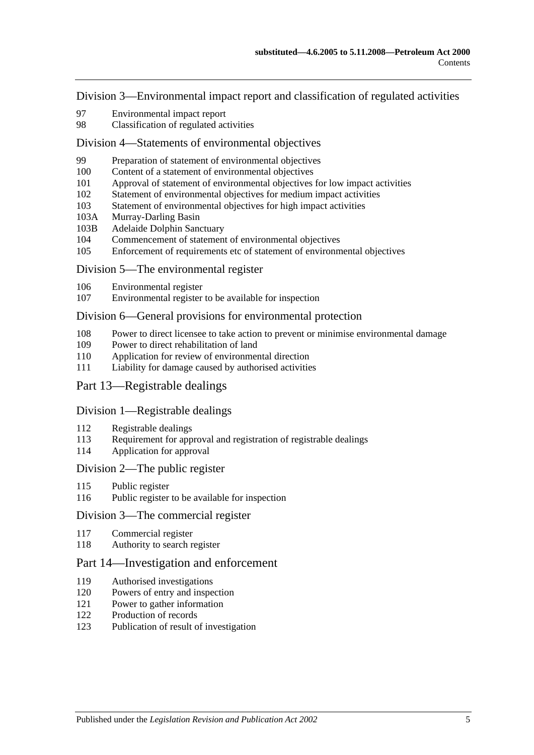[Division 3—Environmental impact report and classification of regulated activities](#page-40-2)

- [Environmental impact report](#page-40-3)
- [Classification of regulated activities](#page-40-4)

#### [Division 4—Statements of environmental objectives](#page-41-0)

- [Preparation of statement of environmental objectives](#page-41-1)
- [Content of a statement of environmental objectives](#page-41-2)
- [Approval of statement of environmental objectives for low impact activities](#page-42-0)
- [Statement of environmental objectives for medium impact activities](#page-42-1)
- [Statement of environmental objectives for high impact activities](#page-43-0)
- 103A [Murray-Darling Basin](#page-43-1)
- 103B [Adelaide Dolphin Sanctuary](#page-43-2)
- [Commencement of statement of environmental objectives](#page-43-3)<br>105 Enforcement of requirements etc of statement of environm
- [Enforcement of requirements etc of statement of environmental objectives](#page-44-0)

#### [Division 5—The environmental register](#page-44-1)

- [Environmental register](#page-44-2)
- [Environmental register to be available for inspection](#page-44-3)

#### [Division 6—General provisions for environmental protection](#page-45-0)

- [Power to direct licensee to take action to prevent or minimise environmental damage](#page-45-1)
- [Power to direct rehabilitation of land](#page-45-2)
- [Application for review of environmental direction](#page-46-0)
- [Liability for damage caused by authorised activities](#page-46-1)

## [Part 13—Registrable dealings](#page-46-2)

#### [Division 1—Registrable dealings](#page-46-3)

- [Registrable dealings](#page-46-4)
- [Requirement for approval and registration of registrable dealings](#page-46-5)
- [Application for approval](#page-47-0)

#### [Division 2—The public register](#page-47-1)

- [Public register](#page-47-2)
- [Public register to be available for inspection](#page-47-3)

#### [Division 3—The commercial register](#page-48-0)

- [Commercial register](#page-48-1)
- [Authority to search register](#page-48-2)

## [Part 14—Investigation and enforcement](#page-48-3)

- [Authorised investigations](#page-48-4)
- [Powers of entry and inspection](#page-48-5)
- [Power to gather information](#page-49-0)
- [Production of records](#page-49-1)
- [Publication of result of investigation](#page-50-0)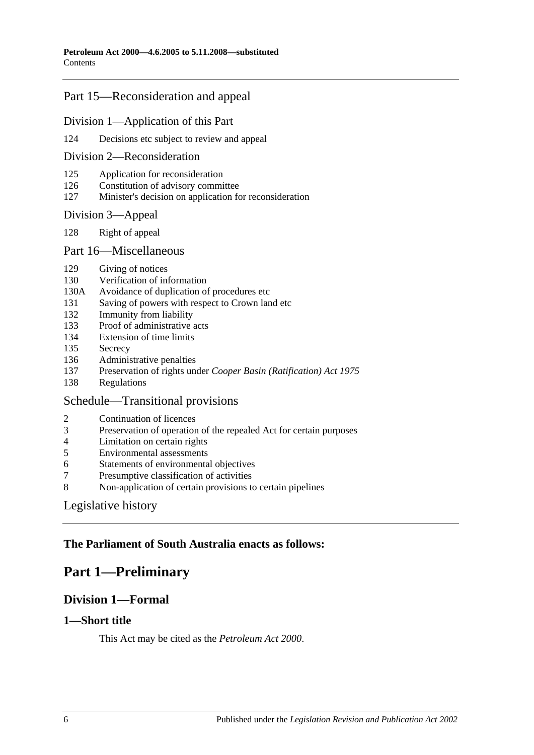## [Part 15—Reconsideration and appeal](#page-50-1)

#### [Division 1—Application of this Part](#page-50-2)

[Decisions etc subject to review and appeal](#page-50-3)

#### [Division 2—Reconsideration](#page-50-4)

- [Application for reconsideration](#page-50-5)
- [Constitution of advisory committee](#page-51-0)
- [Minister's decision on application for reconsideration](#page-51-1)

#### [Division 3—Appeal](#page-51-2)

[Right of appeal](#page-51-3)

#### [Part 16—Miscellaneous](#page-51-4)

- [Giving of notices](#page-51-5)
- [Verification of information](#page-52-0)
- 130A [Avoidance of duplication of procedures etc](#page-52-1)
- [Saving of powers with respect to Crown land etc](#page-54-0)
- [Immunity from liability](#page-54-1)
- [Proof of administrative acts](#page-54-2)
- [Extension of time limits](#page-54-3)
- [Secrecy](#page-54-4)
- [Administrative penalties](#page-55-0)
- Preservation of rights under *[Cooper Basin \(Ratification\) Act](#page-55-1) 1975*
- [Regulations](#page-55-2)

## [Schedule—Transitional provisions](#page-56-0)

- [Continuation of licences](#page-56-1)
- [Preservation of operation of the repealed Act for certain purposes](#page-56-2)
- [Limitation on certain rights](#page-56-3)
- [Environmental assessments](#page-57-0)
- [Statements of environmental objectives](#page-57-1)
- [Presumptive classification of activities](#page-57-2)
- [Non-application of certain provisions to certain pipelines](#page-57-3)

## [Legislative history](#page-58-0)

## <span id="page-5-0"></span>**The Parliament of South Australia enacts as follows:**

## <span id="page-5-1"></span>**Part 1—Preliminary**

## **Division 1—Formal**

#### <span id="page-5-2"></span>**1—Short title**

This Act may be cited as the *Petroleum Act 2000*.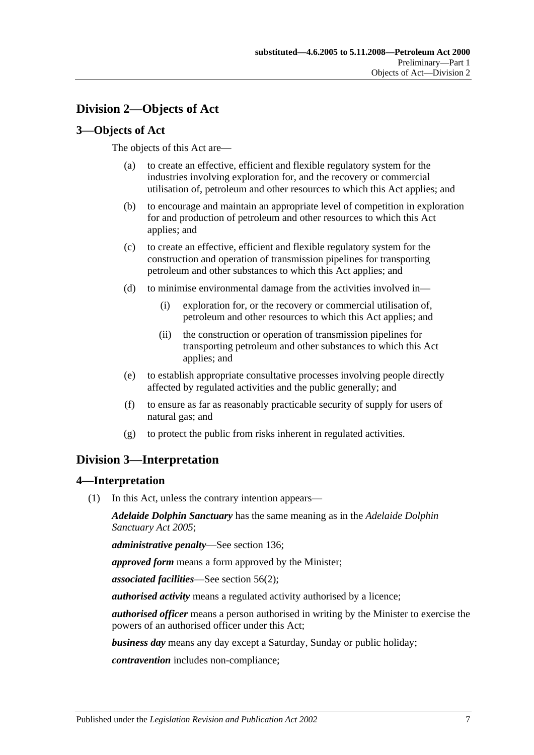## <span id="page-6-0"></span>**Division 2—Objects of Act**

#### <span id="page-6-1"></span>**3—Objects of Act**

The objects of this Act are—

- (a) to create an effective, efficient and flexible regulatory system for the industries involving exploration for, and the recovery or commercial utilisation of, petroleum and other resources to which this Act applies; and
- (b) to encourage and maintain an appropriate level of competition in exploration for and production of petroleum and other resources to which this Act applies; and
- (c) to create an effective, efficient and flexible regulatory system for the construction and operation of transmission pipelines for transporting petroleum and other substances to which this Act applies; and
- (d) to minimise environmental damage from the activities involved in—
	- (i) exploration for, or the recovery or commercial utilisation of, petroleum and other resources to which this Act applies; and
	- (ii) the construction or operation of transmission pipelines for transporting petroleum and other substances to which this Act applies; and
- (e) to establish appropriate consultative processes involving people directly affected by regulated activities and the public generally; and
- (f) to ensure as far as reasonably practicable security of supply for users of natural gas; and
- (g) to protect the public from risks inherent in regulated activities.

## <span id="page-6-2"></span>**Division 3—Interpretation**

#### <span id="page-6-3"></span>**4—Interpretation**

(1) In this Act, unless the contrary intention appears—

*Adelaide Dolphin Sanctuary* has the same meaning as in the *[Adelaide Dolphin](http://www.legislation.sa.gov.au/index.aspx?action=legref&type=act&legtitle=Adelaide%20Dolphin%20Sanctuary%20Act%202005)  [Sanctuary Act](http://www.legislation.sa.gov.au/index.aspx?action=legref&type=act&legtitle=Adelaide%20Dolphin%20Sanctuary%20Act%202005) 2005*;

*administrative penalty*—See [section](#page-55-0) 136;

*approved form* means a form approved by the Minister;

*associated facilities*—See [section](#page-26-2) 56(2);

*authorised activity* means a regulated activity authorised by a licence;

*authorised officer* means a person authorised in writing by the Minister to exercise the powers of an authorised officer under this Act;

*business day* means any day except a Saturday, Sunday or public holiday;

*contravention* includes non-compliance;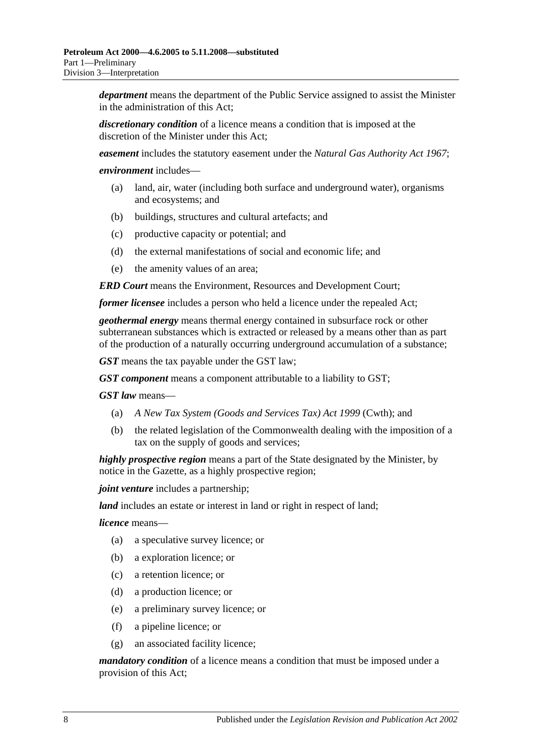*department* means the department of the Public Service assigned to assist the Minister in the administration of this Act;

*discretionary condition* of a licence means a condition that is imposed at the discretion of the Minister under this Act;

*easement* includes the statutory easement under the *[Natural Gas Authority Act](http://www.legislation.sa.gov.au/index.aspx?action=legref&type=act&legtitle=Natural%20Gas%20Authority%20Act%201967) 1967*;

*environment* includes—

- (a) land, air, water (including both surface and underground water), organisms and ecosystems; and
- (b) buildings, structures and cultural artefacts; and
- (c) productive capacity or potential; and
- (d) the external manifestations of social and economic life; and
- (e) the amenity values of an area;

*ERD Court* means the Environment, Resources and Development Court;

*former licensee* includes a person who held a licence under the repealed Act;

*geothermal energy* means thermal energy contained in subsurface rock or other subterranean substances which is extracted or released by a means other than as part of the production of a naturally occurring underground accumulation of a substance;

*GST* means the tax payable under the GST law;

*GST component* means a component attributable to a liability to GST;

*GST law* means—

- (a) *A New Tax System (Goods and Services Tax) Act 1999* (Cwth); and
- (b) the related legislation of the Commonwealth dealing with the imposition of a tax on the supply of goods and services;

*highly prospective region* means a part of the State designated by the Minister, by notice in the Gazette, as a highly prospective region;

*joint venture* includes a partnership;

*land* includes an estate or interest in land or right in respect of land;

*licence* means—

- (a) a speculative survey licence; or
- (b) a exploration licence; or
- (c) a retention licence; or
- (d) a production licence; or
- (e) a preliminary survey licence; or
- (f) a pipeline licence; or
- (g) an associated facility licence;

*mandatory condition* of a licence means a condition that must be imposed under a provision of this Act;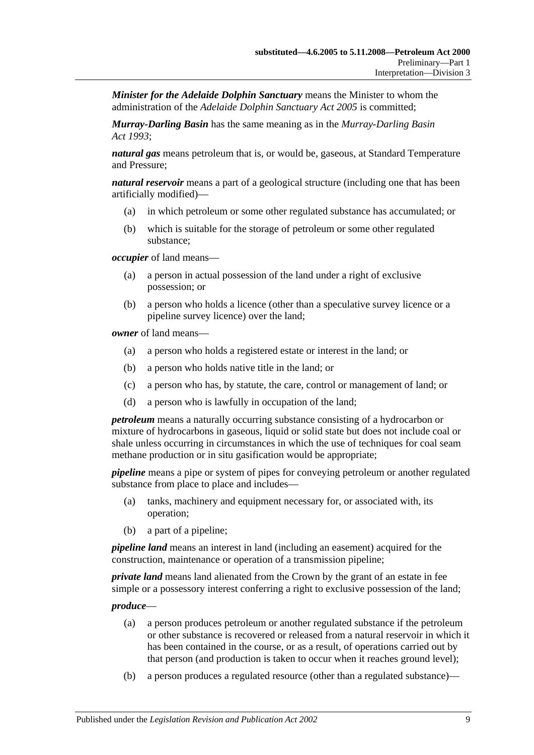*Minister for the Adelaide Dolphin Sanctuary* means the Minister to whom the administration of the *[Adelaide Dolphin Sanctuary Act](http://www.legislation.sa.gov.au/index.aspx?action=legref&type=act&legtitle=Adelaide%20Dolphin%20Sanctuary%20Act%202005) 2005* is committed;

*Murray-Darling Basin* has the same meaning as in the *[Murray-Darling Basin](http://www.legislation.sa.gov.au/index.aspx?action=legref&type=act&legtitle=Murray-Darling%20Basin%20Act%201993)  Act [1993](http://www.legislation.sa.gov.au/index.aspx?action=legref&type=act&legtitle=Murray-Darling%20Basin%20Act%201993)*;

*natural gas* means petroleum that is, or would be, gaseous, at Standard Temperature and Pressure;

*natural reservoir* means a part of a geological structure (including one that has been artificially modified)—

- (a) in which petroleum or some other regulated substance has accumulated; or
- (b) which is suitable for the storage of petroleum or some other regulated substance;

*occupier* of land means—

- (a) a person in actual possession of the land under a right of exclusive possession; or
- (b) a person who holds a licence (other than a speculative survey licence or a pipeline survey licence) over the land;

*owner* of land means—

- (a) a person who holds a registered estate or interest in the land; or
- (b) a person who holds native title in the land; or
- (c) a person who has, by statute, the care, control or management of land; or
- (d) a person who is lawfully in occupation of the land;

*petroleum* means a naturally occurring substance consisting of a hydrocarbon or mixture of hydrocarbons in gaseous, liquid or solid state but does not include coal or shale unless occurring in circumstances in which the use of techniques for coal seam methane production or in situ gasification would be appropriate;

*pipeline* means a pipe or system of pipes for conveying petroleum or another regulated substance from place to place and includes—

- (a) tanks, machinery and equipment necessary for, or associated with, its operation;
- (b) a part of a pipeline;

*pipeline land* means an interest in land (including an easement) acquired for the construction, maintenance or operation of a transmission pipeline;

*private land* means land alienated from the Crown by the grant of an estate in fee simple or a possessory interest conferring a right to exclusive possession of the land;

*produce*—

- (a) a person produces petroleum or another regulated substance if the petroleum or other substance is recovered or released from a natural reservoir in which it has been contained in the course, or as a result, of operations carried out by that person (and production is taken to occur when it reaches ground level);
- (b) a person produces a regulated resource (other than a regulated substance)—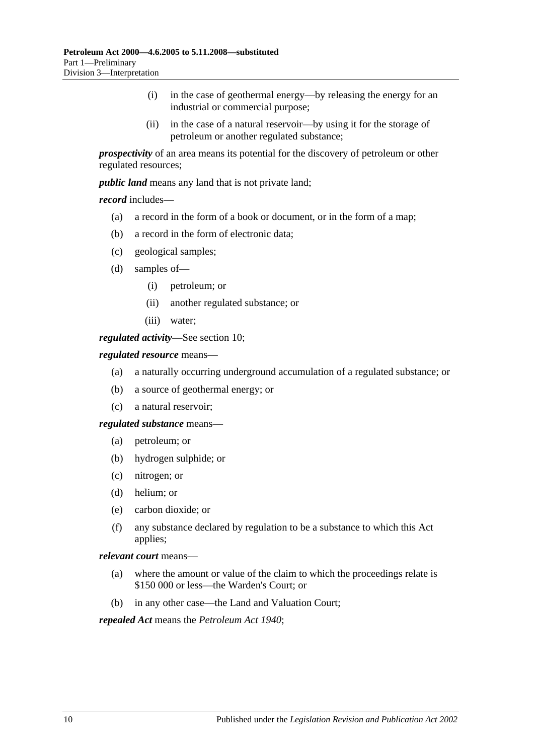- (i) in the case of geothermal energy—by releasing the energy for an industrial or commercial purpose;
- (ii) in the case of a natural reservoir—by using it for the storage of petroleum or another regulated substance;

*prospectivity* of an area means its potential for the discovery of petroleum or other regulated resources;

*public land* means any land that is not private land;

*record* includes—

- (a) a record in the form of a book or document, or in the form of a map;
- (b) a record in the form of electronic data;
- (c) geological samples;
- (d) samples of—
	- (i) petroleum; or
	- (ii) another regulated substance; or
	- (iii) water;

*regulated activity*—See [section](#page-11-5) 10;

#### *regulated resource* means—

- (a) a naturally occurring underground accumulation of a regulated substance; or
- (b) a source of geothermal energy; or
- (c) a natural reservoir;

*regulated substance* means—

- (a) petroleum; or
- (b) hydrogen sulphide; or
- (c) nitrogen; or
- (d) helium; or
- (e) carbon dioxide; or
- (f) any substance declared by regulation to be a substance to which this Act applies;

*relevant court* means—

- (a) where the amount or value of the claim to which the proceedings relate is \$150 000 or less—the Warden's Court; or
- (b) in any other case—the Land and Valuation Court;

*repealed Act* means the *[Petroleum Act](http://www.legislation.sa.gov.au/index.aspx?action=legref&type=act&legtitle=Petroleum%20Act%201940) 1940*;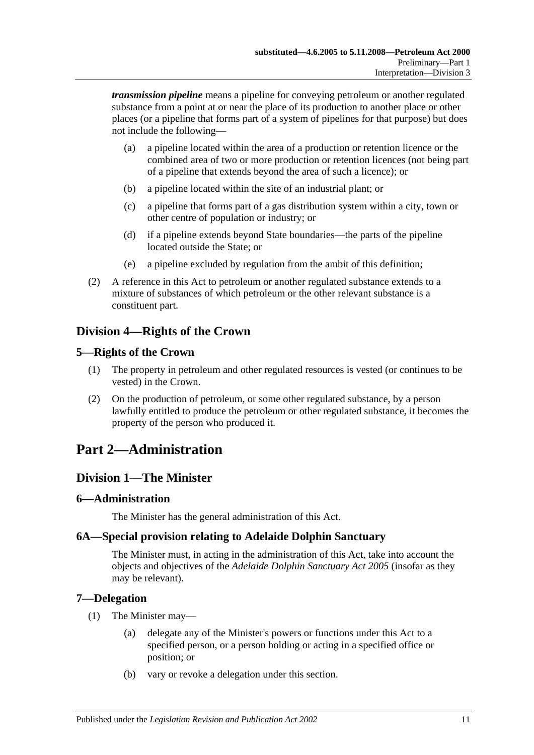*transmission pipeline* means a pipeline for conveying petroleum or another regulated substance from a point at or near the place of its production to another place or other places (or a pipeline that forms part of a system of pipelines for that purpose) but does not include the following—

- (a) a pipeline located within the area of a production or retention licence or the combined area of two or more production or retention licences (not being part of a pipeline that extends beyond the area of such a licence); or
- (b) a pipeline located within the site of an industrial plant; or
- (c) a pipeline that forms part of a gas distribution system within a city, town or other centre of population or industry; or
- (d) if a pipeline extends beyond State boundaries—the parts of the pipeline located outside the State; or
- (e) a pipeline excluded by regulation from the ambit of this definition;
- (2) A reference in this Act to petroleum or another regulated substance extends to a mixture of substances of which petroleum or the other relevant substance is a constituent part.

## <span id="page-10-0"></span>**Division 4—Rights of the Crown**

## <span id="page-10-1"></span>**5—Rights of the Crown**

- (1) The property in petroleum and other regulated resources is vested (or continues to be vested) in the Crown.
- (2) On the production of petroleum, or some other regulated substance, by a person lawfully entitled to produce the petroleum or other regulated substance, it becomes the property of the person who produced it.

## <span id="page-10-2"></span>**Part 2—Administration**

## <span id="page-10-3"></span>**Division 1—The Minister**

## <span id="page-10-4"></span>**6—Administration**

The Minister has the general administration of this Act.

## <span id="page-10-5"></span>**6A—Special provision relating to Adelaide Dolphin Sanctuary**

The Minister must, in acting in the administration of this Act, take into account the objects and objectives of the *[Adelaide Dolphin Sanctuary Act](http://www.legislation.sa.gov.au/index.aspx?action=legref&type=act&legtitle=Adelaide%20Dolphin%20Sanctuary%20Act%202005) 2005* (insofar as they may be relevant).

## <span id="page-10-6"></span>**7—Delegation**

- (1) The Minister may—
	- (a) delegate any of the Minister's powers or functions under this Act to a specified person, or a person holding or acting in a specified office or position; or
	- (b) vary or revoke a delegation under this section.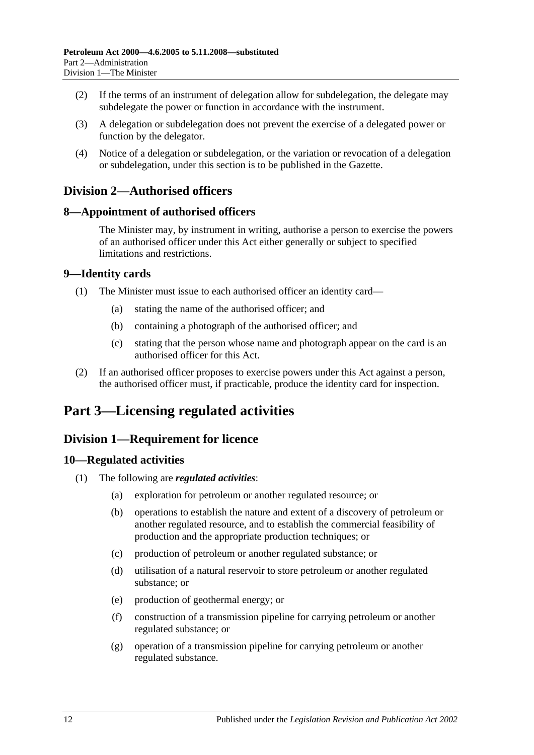- (2) If the terms of an instrument of delegation allow for subdelegation, the delegate may subdelegate the power or function in accordance with the instrument.
- (3) A delegation or subdelegation does not prevent the exercise of a delegated power or function by the delegator.
- (4) Notice of a delegation or subdelegation, or the variation or revocation of a delegation or subdelegation, under this section is to be published in the Gazette.

## <span id="page-11-0"></span>**Division 2—Authorised officers**

## <span id="page-11-1"></span>**8—Appointment of authorised officers**

The Minister may, by instrument in writing, authorise a person to exercise the powers of an authorised officer under this Act either generally or subject to specified limitations and restrictions.

## <span id="page-11-2"></span>**9—Identity cards**

- (1) The Minister must issue to each authorised officer an identity card—
	- (a) stating the name of the authorised officer; and
	- (b) containing a photograph of the authorised officer; and
	- (c) stating that the person whose name and photograph appear on the card is an authorised officer for this Act.
- (2) If an authorised officer proposes to exercise powers under this Act against a person, the authorised officer must, if practicable, produce the identity card for inspection.

## <span id="page-11-3"></span>**Part 3—Licensing regulated activities**

## <span id="page-11-4"></span>**Division 1—Requirement for licence**

## <span id="page-11-5"></span>**10—Regulated activities**

- (1) The following are *regulated activities*:
	- (a) exploration for petroleum or another regulated resource; or
	- (b) operations to establish the nature and extent of a discovery of petroleum or another regulated resource, and to establish the commercial feasibility of production and the appropriate production techniques; or
	- (c) production of petroleum or another regulated substance; or
	- (d) utilisation of a natural reservoir to store petroleum or another regulated substance; or
	- (e) production of geothermal energy; or
	- (f) construction of a transmission pipeline for carrying petroleum or another regulated substance; or
	- (g) operation of a transmission pipeline for carrying petroleum or another regulated substance.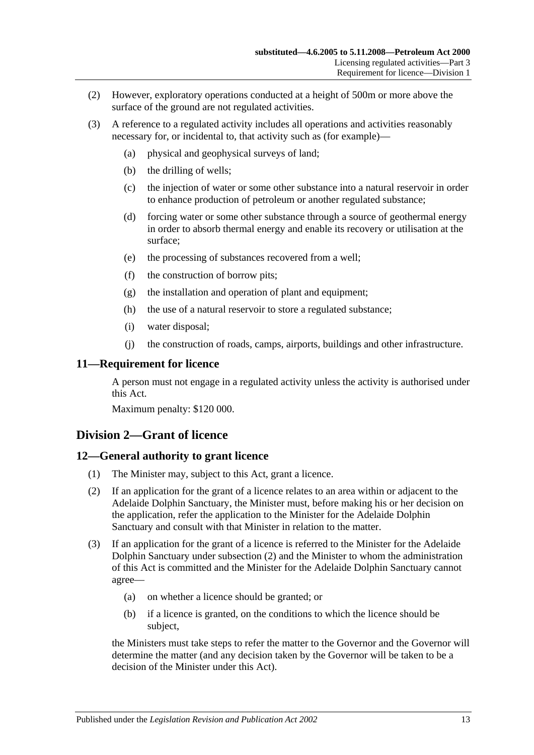- (2) However, exploratory operations conducted at a height of 500m or more above the surface of the ground are not regulated activities.
- (3) A reference to a regulated activity includes all operations and activities reasonably necessary for, or incidental to, that activity such as (for example)—
	- (a) physical and geophysical surveys of land;
	- (b) the drilling of wells;
	- (c) the injection of water or some other substance into a natural reservoir in order to enhance production of petroleum or another regulated substance;
	- (d) forcing water or some other substance through a source of geothermal energy in order to absorb thermal energy and enable its recovery or utilisation at the surface;
	- (e) the processing of substances recovered from a well;
	- (f) the construction of borrow pits;
	- (g) the installation and operation of plant and equipment;
	- (h) the use of a natural reservoir to store a regulated substance;
	- (i) water disposal;
	- (j) the construction of roads, camps, airports, buildings and other infrastructure.

#### <span id="page-12-0"></span>**11—Requirement for licence**

A person must not engage in a regulated activity unless the activity is authorised under this Act.

Maximum penalty: \$120 000.

## <span id="page-12-1"></span>**Division 2—Grant of licence**

#### <span id="page-12-2"></span>**12—General authority to grant licence**

- (1) The Minister may, subject to this Act, grant a licence.
- <span id="page-12-3"></span>(2) If an application for the grant of a licence relates to an area within or adjacent to the Adelaide Dolphin Sanctuary, the Minister must, before making his or her decision on the application, refer the application to the Minister for the Adelaide Dolphin Sanctuary and consult with that Minister in relation to the matter.
- (3) If an application for the grant of a licence is referred to the Minister for the Adelaide Dolphin Sanctuary under [subsection](#page-12-3) (2) and the Minister to whom the administration of this Act is committed and the Minister for the Adelaide Dolphin Sanctuary cannot agree—
	- (a) on whether a licence should be granted; or
	- (b) if a licence is granted, on the conditions to which the licence should be subject,

the Ministers must take steps to refer the matter to the Governor and the Governor will determine the matter (and any decision taken by the Governor will be taken to be a decision of the Minister under this Act).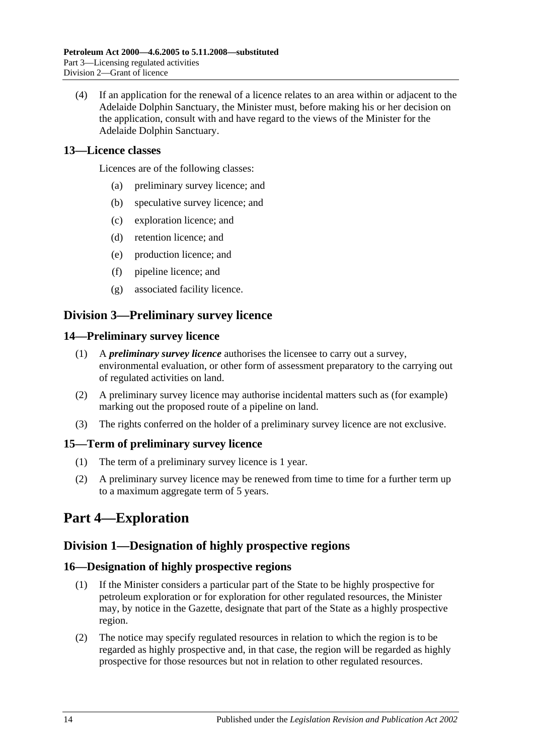(4) If an application for the renewal of a licence relates to an area within or adjacent to the Adelaide Dolphin Sanctuary, the Minister must, before making his or her decision on the application, consult with and have regard to the views of the Minister for the Adelaide Dolphin Sanctuary.

## <span id="page-13-0"></span>**13—Licence classes**

Licences are of the following classes:

- (a) preliminary survey licence; and
- (b) speculative survey licence; and
- (c) exploration licence; and
- (d) retention licence; and
- (e) production licence; and
- (f) pipeline licence; and
- (g) associated facility licence.

## <span id="page-13-1"></span>**Division 3—Preliminary survey licence**

#### <span id="page-13-2"></span>**14—Preliminary survey licence**

- (1) A *preliminary survey licence* authorises the licensee to carry out a survey, environmental evaluation, or other form of assessment preparatory to the carrying out of regulated activities on land.
- (2) A preliminary survey licence may authorise incidental matters such as (for example) marking out the proposed route of a pipeline on land.
- (3) The rights conferred on the holder of a preliminary survey licence are not exclusive.

## <span id="page-13-3"></span>**15—Term of preliminary survey licence**

- (1) The term of a preliminary survey licence is 1 year.
- (2) A preliminary survey licence may be renewed from time to time for a further term up to a maximum aggregate term of 5 years.

## <span id="page-13-4"></span>**Part 4—Exploration**

## <span id="page-13-5"></span>**Division 1—Designation of highly prospective regions**

## <span id="page-13-6"></span>**16—Designation of highly prospective regions**

- (1) If the Minister considers a particular part of the State to be highly prospective for petroleum exploration or for exploration for other regulated resources, the Minister may, by notice in the Gazette, designate that part of the State as a highly prospective region.
- (2) The notice may specify regulated resources in relation to which the region is to be regarded as highly prospective and, in that case, the region will be regarded as highly prospective for those resources but not in relation to other regulated resources.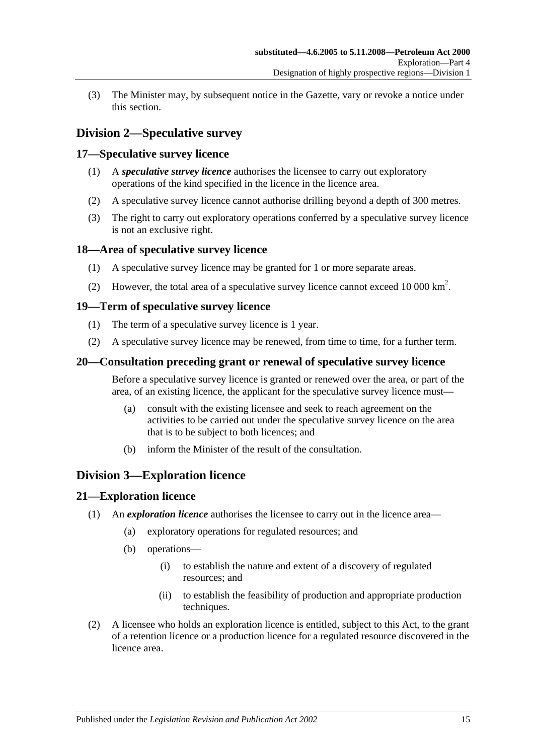(3) The Minister may, by subsequent notice in the Gazette, vary or revoke a notice under this section.

## <span id="page-14-0"></span>**Division 2—Speculative survey**

## <span id="page-14-1"></span>**17—Speculative survey licence**

- (1) A *speculative survey licence* authorises the licensee to carry out exploratory operations of the kind specified in the licence in the licence area.
- (2) A speculative survey licence cannot authorise drilling beyond a depth of 300 metres.
- (3) The right to carry out exploratory operations conferred by a speculative survey licence is not an exclusive right.

## <span id="page-14-2"></span>**18—Area of speculative survey licence**

- (1) A speculative survey licence may be granted for 1 or more separate areas.
- (2) However, the total area of a speculative survey licence cannot exceed 10 000  $\text{km}^2$ .

## <span id="page-14-3"></span>**19—Term of speculative survey licence**

- (1) The term of a speculative survey licence is 1 year.
- (2) A speculative survey licence may be renewed, from time to time, for a further term.

## <span id="page-14-4"></span>**20—Consultation preceding grant or renewal of speculative survey licence**

Before a speculative survey licence is granted or renewed over the area, or part of the area, of an existing licence, the applicant for the speculative survey licence must—

- (a) consult with the existing licensee and seek to reach agreement on the activities to be carried out under the speculative survey licence on the area that is to be subject to both licences; and
- (b) inform the Minister of the result of the consultation.

## <span id="page-14-5"></span>**Division 3—Exploration licence**

## <span id="page-14-6"></span>**21—Exploration licence**

- (1) An *exploration licence* authorises the licensee to carry out in the licence area—
	- (a) exploratory operations for regulated resources; and
	- (b) operations—
		- (i) to establish the nature and extent of a discovery of regulated resources; and
		- (ii) to establish the feasibility of production and appropriate production techniques.
- (2) A licensee who holds an exploration licence is entitled, subject to this Act, to the grant of a retention licence or a production licence for a regulated resource discovered in the licence area.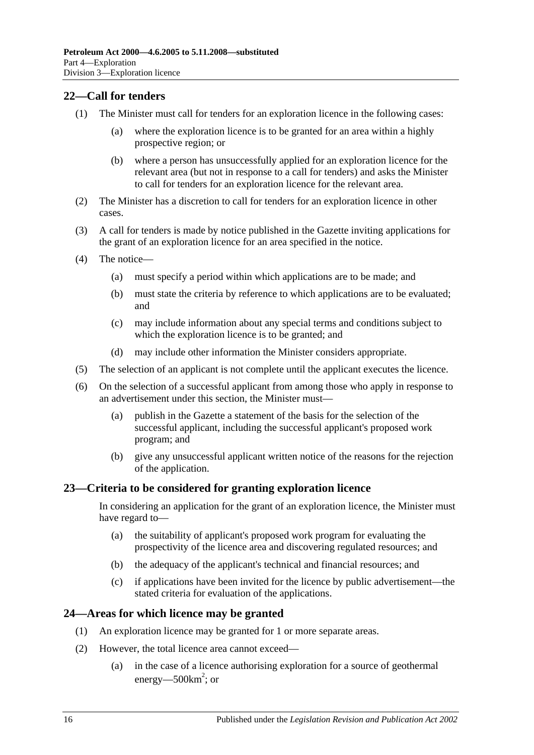## <span id="page-15-0"></span>**22—Call for tenders**

- (1) The Minister must call for tenders for an exploration licence in the following cases:
	- (a) where the exploration licence is to be granted for an area within a highly prospective region; or
	- (b) where a person has unsuccessfully applied for an exploration licence for the relevant area (but not in response to a call for tenders) and asks the Minister to call for tenders for an exploration licence for the relevant area.
- (2) The Minister has a discretion to call for tenders for an exploration licence in other cases.
- (3) A call for tenders is made by notice published in the Gazette inviting applications for the grant of an exploration licence for an area specified in the notice.
- (4) The notice—
	- (a) must specify a period within which applications are to be made; and
	- (b) must state the criteria by reference to which applications are to be evaluated; and
	- (c) may include information about any special terms and conditions subject to which the exploration licence is to be granted; and
	- (d) may include other information the Minister considers appropriate.
- (5) The selection of an applicant is not complete until the applicant executes the licence.
- (6) On the selection of a successful applicant from among those who apply in response to an advertisement under this section, the Minister must—
	- (a) publish in the Gazette a statement of the basis for the selection of the successful applicant, including the successful applicant's proposed work program; and
	- (b) give any unsuccessful applicant written notice of the reasons for the rejection of the application.

## <span id="page-15-1"></span>**23—Criteria to be considered for granting exploration licence**

In considering an application for the grant of an exploration licence, the Minister must have regard to—

- (a) the suitability of applicant's proposed work program for evaluating the prospectivity of the licence area and discovering regulated resources; and
- (b) the adequacy of the applicant's technical and financial resources; and
- (c) if applications have been invited for the licence by public advertisement—the stated criteria for evaluation of the applications.

## <span id="page-15-2"></span>**24—Areas for which licence may be granted**

- (1) An exploration licence may be granted for 1 or more separate areas.
- (2) However, the total licence area cannot exceed—
	- (a) in the case of a licence authorising exploration for a source of geothermal energy—500 $km^2$ ; or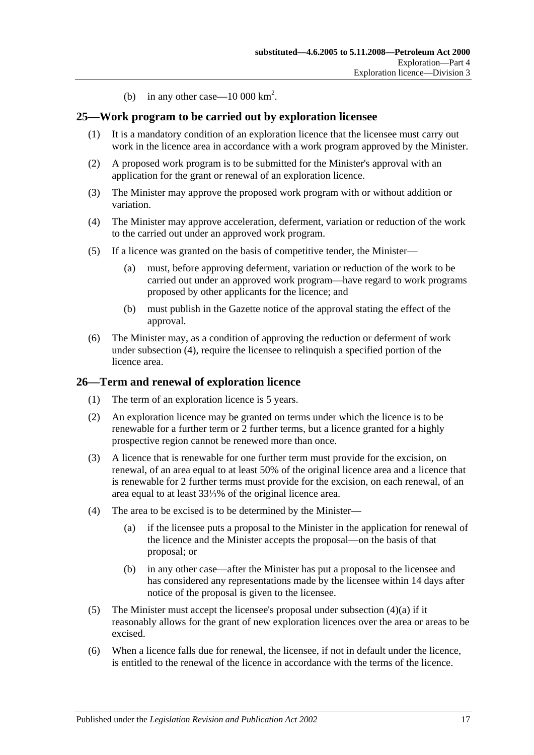(b) in any other case  $-10\,000\,\mathrm{km}^2$ .

## <span id="page-16-0"></span>**25—Work program to be carried out by exploration licensee**

- (1) It is a mandatory condition of an exploration licence that the licensee must carry out work in the licence area in accordance with a work program approved by the Minister.
- (2) A proposed work program is to be submitted for the Minister's approval with an application for the grant or renewal of an exploration licence.
- (3) The Minister may approve the proposed work program with or without addition or variation.
- <span id="page-16-2"></span>(4) The Minister may approve acceleration, deferment, variation or reduction of the work to the carried out under an approved work program.
- (5) If a licence was granted on the basis of competitive tender, the Minister—
	- (a) must, before approving deferment, variation or reduction of the work to be carried out under an approved work program—have regard to work programs proposed by other applicants for the licence; and
	- (b) must publish in the Gazette notice of the approval stating the effect of the approval.
- (6) The Minister may, as a condition of approving the reduction or deferment of work under [subsection](#page-16-2) (4), require the licensee to relinquish a specified portion of the licence area.

#### <span id="page-16-1"></span>**26—Term and renewal of exploration licence**

- (1) The term of an exploration licence is 5 years.
- (2) An exploration licence may be granted on terms under which the licence is to be renewable for a further term or 2 further terms, but a licence granted for a highly prospective region cannot be renewed more than once.
- (3) A licence that is renewable for one further term must provide for the excision, on renewal, of an area equal to at least 50% of the original licence area and a licence that is renewable for 2 further terms must provide for the excision, on each renewal, of an area equal to at least 33⅓% of the original licence area.
- <span id="page-16-3"></span>(4) The area to be excised is to be determined by the Minister—
	- (a) if the licensee puts a proposal to the Minister in the application for renewal of the licence and the Minister accepts the proposal—on the basis of that proposal; or
	- (b) in any other case—after the Minister has put a proposal to the licensee and has considered any representations made by the licensee within 14 days after notice of the proposal is given to the licensee.
- (5) The Minister must accept the licensee's proposal under [subsection](#page-16-3)  $(4)(a)$  if it reasonably allows for the grant of new exploration licences over the area or areas to be excised.
- (6) When a licence falls due for renewal, the licensee, if not in default under the licence, is entitled to the renewal of the licence in accordance with the terms of the licence.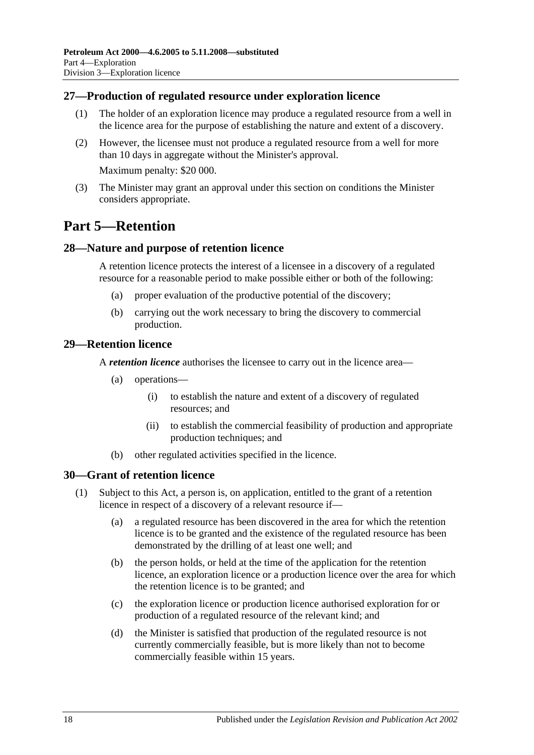## <span id="page-17-0"></span>**27—Production of regulated resource under exploration licence**

- (1) The holder of an exploration licence may produce a regulated resource from a well in the licence area for the purpose of establishing the nature and extent of a discovery.
- (2) However, the licensee must not produce a regulated resource from a well for more than 10 days in aggregate without the Minister's approval. Maximum penalty: \$20 000.
- (3) The Minister may grant an approval under this section on conditions the Minister considers appropriate.

## <span id="page-17-1"></span>**Part 5—Retention**

## <span id="page-17-2"></span>**28—Nature and purpose of retention licence**

A retention licence protects the interest of a licensee in a discovery of a regulated resource for a reasonable period to make possible either or both of the following:

- (a) proper evaluation of the productive potential of the discovery;
- (b) carrying out the work necessary to bring the discovery to commercial production.

## <span id="page-17-3"></span>**29—Retention licence**

A *retention licence* authorises the licensee to carry out in the licence area—

- (a) operations—
	- (i) to establish the nature and extent of a discovery of regulated resources; and
	- (ii) to establish the commercial feasibility of production and appropriate production techniques; and
- (b) other regulated activities specified in the licence.

## <span id="page-17-4"></span>**30—Grant of retention licence**

- (1) Subject to this Act, a person is, on application, entitled to the grant of a retention licence in respect of a discovery of a relevant resource if—
	- (a) a regulated resource has been discovered in the area for which the retention licence is to be granted and the existence of the regulated resource has been demonstrated by the drilling of at least one well; and
	- (b) the person holds, or held at the time of the application for the retention licence, an exploration licence or a production licence over the area for which the retention licence is to be granted; and
	- (c) the exploration licence or production licence authorised exploration for or production of a regulated resource of the relevant kind; and
	- (d) the Minister is satisfied that production of the regulated resource is not currently commercially feasible, but is more likely than not to become commercially feasible within 15 years.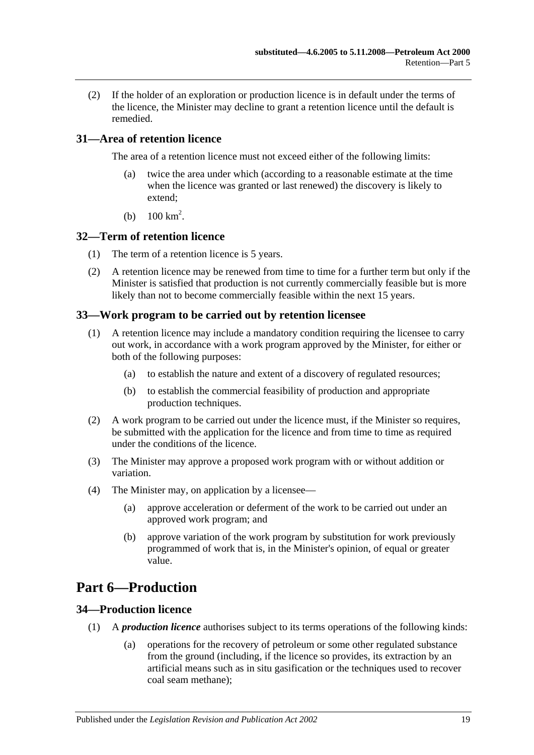(2) If the holder of an exploration or production licence is in default under the terms of the licence, the Minister may decline to grant a retention licence until the default is remedied.

## <span id="page-18-0"></span>**31—Area of retention licence**

The area of a retention licence must not exceed either of the following limits:

- (a) twice the area under which (according to a reasonable estimate at the time when the licence was granted or last renewed) the discovery is likely to extend;
- (b)  $100 \text{ km}^2$ .

#### <span id="page-18-1"></span>**32—Term of retention licence**

- (1) The term of a retention licence is 5 years.
- (2) A retention licence may be renewed from time to time for a further term but only if the Minister is satisfied that production is not currently commercially feasible but is more likely than not to become commercially feasible within the next 15 years.

#### <span id="page-18-2"></span>**33—Work program to be carried out by retention licensee**

- (1) A retention licence may include a mandatory condition requiring the licensee to carry out work, in accordance with a work program approved by the Minister, for either or both of the following purposes:
	- (a) to establish the nature and extent of a discovery of regulated resources;
	- (b) to establish the commercial feasibility of production and appropriate production techniques.
- (2) A work program to be carried out under the licence must, if the Minister so requires, be submitted with the application for the licence and from time to time as required under the conditions of the licence.
- (3) The Minister may approve a proposed work program with or without addition or variation.
- (4) The Minister may, on application by a licensee—
	- (a) approve acceleration or deferment of the work to be carried out under an approved work program; and
	- (b) approve variation of the work program by substitution for work previously programmed of work that is, in the Minister's opinion, of equal or greater value.

## <span id="page-18-3"></span>**Part 6—Production**

## <span id="page-18-4"></span>**34—Production licence**

- (1) A *production licence* authorises subject to its terms operations of the following kinds:
	- (a) operations for the recovery of petroleum or some other regulated substance from the ground (including, if the licence so provides, its extraction by an artificial means such as in situ gasification or the techniques used to recover coal seam methane);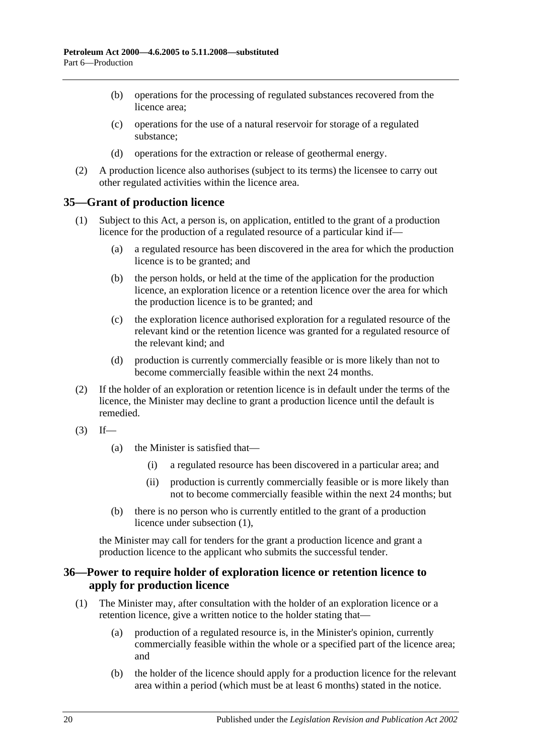- (b) operations for the processing of regulated substances recovered from the licence area;
- (c) operations for the use of a natural reservoir for storage of a regulated substance;
- (d) operations for the extraction or release of geothermal energy.
- (2) A production licence also authorises (subject to its terms) the licensee to carry out other regulated activities within the licence area.

#### <span id="page-19-2"></span><span id="page-19-0"></span>**35—Grant of production licence**

- (1) Subject to this Act, a person is, on application, entitled to the grant of a production licence for the production of a regulated resource of a particular kind if—
	- (a) a regulated resource has been discovered in the area for which the production licence is to be granted; and
	- (b) the person holds, or held at the time of the application for the production licence, an exploration licence or a retention licence over the area for which the production licence is to be granted; and
	- (c) the exploration licence authorised exploration for a regulated resource of the relevant kind or the retention licence was granted for a regulated resource of the relevant kind; and
	- (d) production is currently commercially feasible or is more likely than not to become commercially feasible within the next 24 months.
- (2) If the holder of an exploration or retention licence is in default under the terms of the licence, the Minister may decline to grant a production licence until the default is remedied.
- $(3)$  If—
	- (a) the Minister is satisfied that—
		- (i) a regulated resource has been discovered in a particular area; and
		- (ii) production is currently commercially feasible or is more likely than not to become commercially feasible within the next 24 months; but
	- (b) there is no person who is currently entitled to the grant of a production licence under [subsection](#page-19-2) (1),

the Minister may call for tenders for the grant a production licence and grant a production licence to the applicant who submits the successful tender.

## <span id="page-19-1"></span>**36—Power to require holder of exploration licence or retention licence to apply for production licence**

- (1) The Minister may, after consultation with the holder of an exploration licence or a retention licence, give a written notice to the holder stating that—
	- (a) production of a regulated resource is, in the Minister's opinion, currently commercially feasible within the whole or a specified part of the licence area; and
	- (b) the holder of the licence should apply for a production licence for the relevant area within a period (which must be at least 6 months) stated in the notice.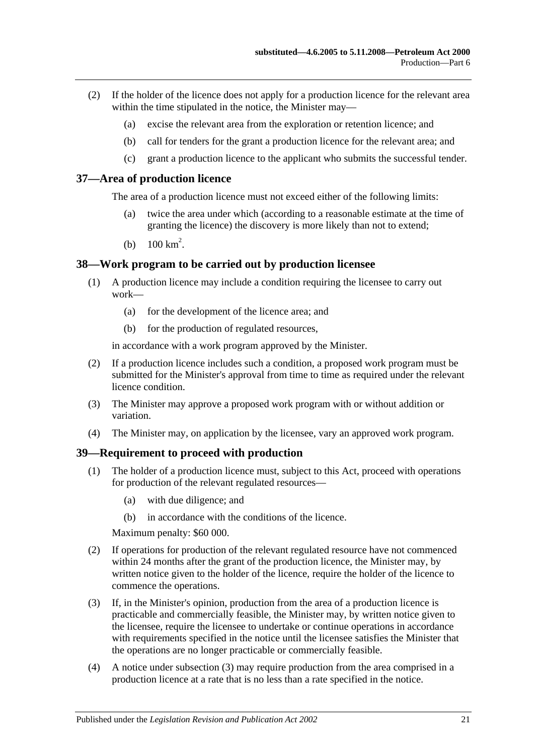- (2) If the holder of the licence does not apply for a production licence for the relevant area within the time stipulated in the notice, the Minister may—
	- (a) excise the relevant area from the exploration or retention licence; and
	- (b) call for tenders for the grant a production licence for the relevant area; and
	- (c) grant a production licence to the applicant who submits the successful tender.

#### <span id="page-20-0"></span>**37—Area of production licence**

The area of a production licence must not exceed either of the following limits:

- twice the area under which (according to a reasonable estimate at the time of granting the licence) the discovery is more likely than not to extend;
- (b)  $100 \text{ km}^2$ .

#### <span id="page-20-1"></span>**38—Work program to be carried out by production licensee**

- (1) A production licence may include a condition requiring the licensee to carry out work—
	- (a) for the development of the licence area; and
	- (b) for the production of regulated resources,

in accordance with a work program approved by the Minister.

- (2) If a production licence includes such a condition, a proposed work program must be submitted for the Minister's approval from time to time as required under the relevant licence condition.
- (3) The Minister may approve a proposed work program with or without addition or variation.
- (4) The Minister may, on application by the licensee, vary an approved work program.

#### <span id="page-20-2"></span>**39—Requirement to proceed with production**

- (1) The holder of a production licence must, subject to this Act, proceed with operations for production of the relevant regulated resources—
	- (a) with due diligence; and
	- (b) in accordance with the conditions of the licence.

Maximum penalty: \$60 000.

- (2) If operations for production of the relevant regulated resource have not commenced within 24 months after the grant of the production licence, the Minister may, by written notice given to the holder of the licence, require the holder of the licence to commence the operations.
- <span id="page-20-3"></span>(3) If, in the Minister's opinion, production from the area of a production licence is practicable and commercially feasible, the Minister may, by written notice given to the licensee, require the licensee to undertake or continue operations in accordance with requirements specified in the notice until the licensee satisfies the Minister that the operations are no longer practicable or commercially feasible.
- (4) A notice under [subsection](#page-20-3) (3) may require production from the area comprised in a production licence at a rate that is no less than a rate specified in the notice.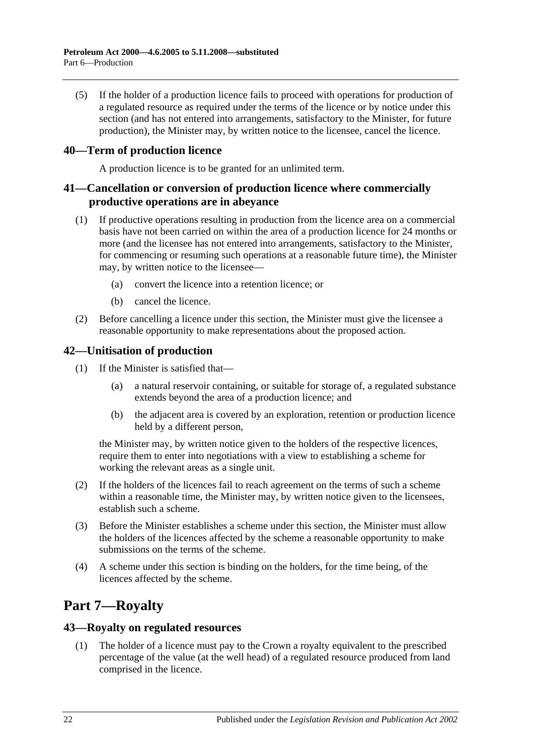(5) If the holder of a production licence fails to proceed with operations for production of a regulated resource as required under the terms of the licence or by notice under this section (and has not entered into arrangements, satisfactory to the Minister, for future production), the Minister may, by written notice to the licensee, cancel the licence.

## <span id="page-21-0"></span>**40—Term of production licence**

A production licence is to be granted for an unlimited term.

## <span id="page-21-1"></span>**41—Cancellation or conversion of production licence where commercially productive operations are in abeyance**

- (1) If productive operations resulting in production from the licence area on a commercial basis have not been carried on within the area of a production licence for 24 months or more (and the licensee has not entered into arrangements, satisfactory to the Minister, for commencing or resuming such operations at a reasonable future time), the Minister may, by written notice to the licensee—
	- (a) convert the licence into a retention licence; or
	- (b) cancel the licence.
- <span id="page-21-5"></span>(2) Before cancelling a licence under this section, the Minister must give the licensee a reasonable opportunity to make representations about the proposed action.

#### <span id="page-21-2"></span>**42—Unitisation of production**

- (1) If the Minister is satisfied that—
	- (a) a natural reservoir containing, or suitable for storage of, a regulated substance extends beyond the area of a production licence; and
	- (b) the adjacent area is covered by an exploration, retention or production licence held by a different person,

the Minister may, by written notice given to the holders of the respective licences, require them to enter into negotiations with a view to establishing a scheme for working the relevant areas as a single unit.

- (2) If the holders of the licences fail to reach agreement on the terms of such a scheme within a reasonable time, the Minister may, by written notice given to the licensees, establish such a scheme.
- (3) Before the Minister establishes a scheme under this section, the Minister must allow the holders of the licences affected by the scheme a reasonable opportunity to make submissions on the terms of the scheme.
- (4) A scheme under this section is binding on the holders, for the time being, of the licences affected by the scheme.

## <span id="page-21-3"></span>**Part 7—Royalty**

#### <span id="page-21-4"></span>**43—Royalty on regulated resources**

(1) The holder of a licence must pay to the Crown a royalty equivalent to the prescribed percentage of the value (at the well head) of a regulated resource produced from land comprised in the licence.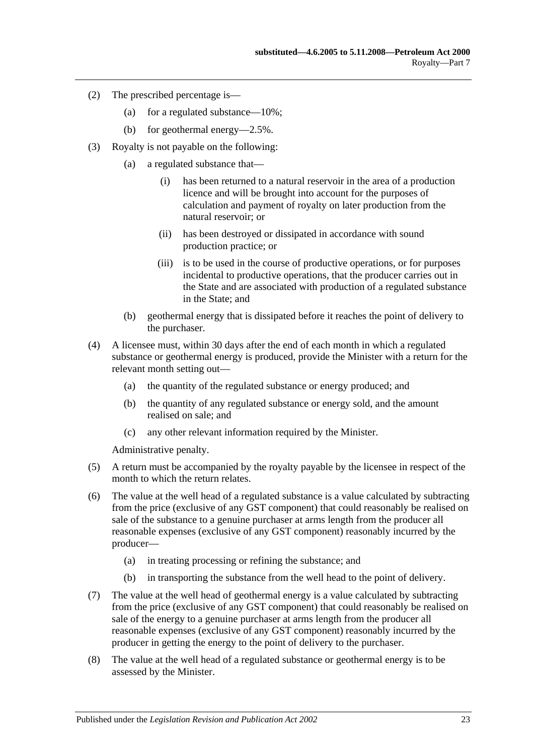- (2) The prescribed percentage is—
	- (a) for a regulated substance—10%;
	- (b) for geothermal energy—2.5%.
- (3) Royalty is not payable on the following:
	- (a) a regulated substance that—
		- (i) has been returned to a natural reservoir in the area of a production licence and will be brought into account for the purposes of calculation and payment of royalty on later production from the natural reservoir; or
		- (ii) has been destroyed or dissipated in accordance with sound production practice; or
		- (iii) is to be used in the course of productive operations, or for purposes incidental to productive operations, that the producer carries out in the State and are associated with production of a regulated substance in the State; and
	- (b) geothermal energy that is dissipated before it reaches the point of delivery to the purchaser.
- (4) A licensee must, within 30 days after the end of each month in which a regulated substance or geothermal energy is produced, provide the Minister with a return for the relevant month setting out—
	- (a) the quantity of the regulated substance or energy produced; and
	- (b) the quantity of any regulated substance or energy sold, and the amount realised on sale; and
	- (c) any other relevant information required by the Minister.

Administrative penalty.

- (5) A return must be accompanied by the royalty payable by the licensee in respect of the month to which the return relates.
- (6) The value at the well head of a regulated substance is a value calculated by subtracting from the price (exclusive of any GST component) that could reasonably be realised on sale of the substance to a genuine purchaser at arms length from the producer all reasonable expenses (exclusive of any GST component) reasonably incurred by the producer—
	- (a) in treating processing or refining the substance; and
	- (b) in transporting the substance from the well head to the point of delivery.
- (7) The value at the well head of geothermal energy is a value calculated by subtracting from the price (exclusive of any GST component) that could reasonably be realised on sale of the energy to a genuine purchaser at arms length from the producer all reasonable expenses (exclusive of any GST component) reasonably incurred by the producer in getting the energy to the point of delivery to the purchaser.
- (8) The value at the well head of a regulated substance or geothermal energy is to be assessed by the Minister.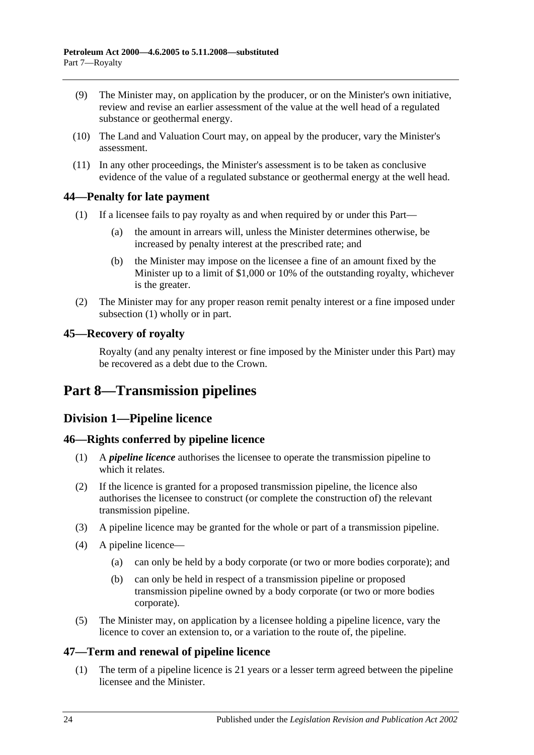- (9) The Minister may, on application by the producer, or on the Minister's own initiative, review and revise an earlier assessment of the value at the well head of a regulated substance or geothermal energy.
- (10) The Land and Valuation Court may, on appeal by the producer, vary the Minister's assessment.
- (11) In any other proceedings, the Minister's assessment is to be taken as conclusive evidence of the value of a regulated substance or geothermal energy at the well head.

## <span id="page-23-6"></span><span id="page-23-0"></span>**44—Penalty for late payment**

- (1) If a licensee fails to pay royalty as and when required by or under this Part—
	- (a) the amount in arrears will, unless the Minister determines otherwise, be increased by penalty interest at the prescribed rate; and
	- (b) the Minister may impose on the licensee a fine of an amount fixed by the Minister up to a limit of \$1,000 or 10% of the outstanding royalty, whichever is the greater.
- (2) The Minister may for any proper reason remit penalty interest or a fine imposed under [subsection](#page-23-6) (1) wholly or in part.

## <span id="page-23-1"></span>**45—Recovery of royalty**

Royalty (and any penalty interest or fine imposed by the Minister under this Part) may be recovered as a debt due to the Crown.

## <span id="page-23-3"></span><span id="page-23-2"></span>**Part 8—Transmission pipelines**

## **Division 1—Pipeline licence**

## <span id="page-23-4"></span>**46—Rights conferred by pipeline licence**

- (1) A *pipeline licence* authorises the licensee to operate the transmission pipeline to which it relates.
- (2) If the licence is granted for a proposed transmission pipeline, the licence also authorises the licensee to construct (or complete the construction of) the relevant transmission pipeline.
- (3) A pipeline licence may be granted for the whole or part of a transmission pipeline.
- (4) A pipeline licence—
	- (a) can only be held by a body corporate (or two or more bodies corporate); and
	- (b) can only be held in respect of a transmission pipeline or proposed transmission pipeline owned by a body corporate (or two or more bodies corporate).
- (5) The Minister may, on application by a licensee holding a pipeline licence, vary the licence to cover an extension to, or a variation to the route of, the pipeline.

## <span id="page-23-5"></span>**47—Term and renewal of pipeline licence**

(1) The term of a pipeline licence is 21 years or a lesser term agreed between the pipeline licensee and the Minister.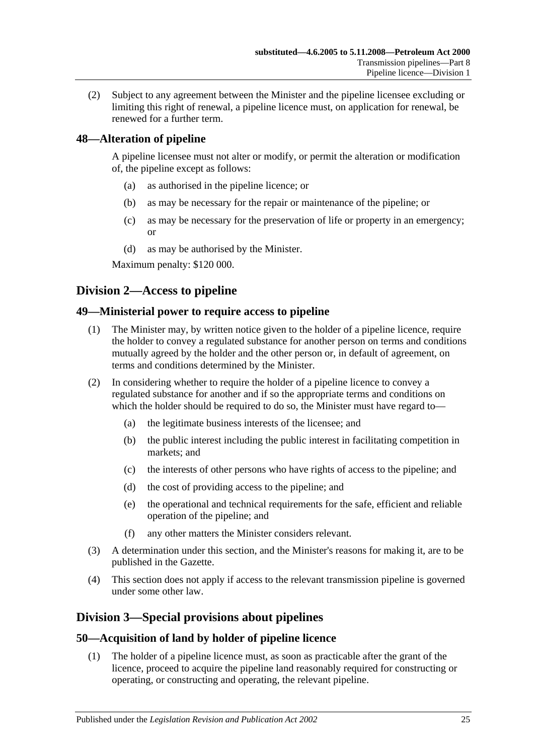(2) Subject to any agreement between the Minister and the pipeline licensee excluding or limiting this right of renewal, a pipeline licence must, on application for renewal, be renewed for a further term.

## <span id="page-24-0"></span>**48—Alteration of pipeline**

A pipeline licensee must not alter or modify, or permit the alteration or modification of, the pipeline except as follows:

- (a) as authorised in the pipeline licence; or
- (b) as may be necessary for the repair or maintenance of the pipeline; or
- (c) as may be necessary for the preservation of life or property in an emergency; or
- (d) as may be authorised by the Minister.

Maximum penalty: \$120 000.

## <span id="page-24-1"></span>**Division 2—Access to pipeline**

## <span id="page-24-2"></span>**49—Ministerial power to require access to pipeline**

- (1) The Minister may, by written notice given to the holder of a pipeline licence, require the holder to convey a regulated substance for another person on terms and conditions mutually agreed by the holder and the other person or, in default of agreement, on terms and conditions determined by the Minister.
- (2) In considering whether to require the holder of a pipeline licence to convey a regulated substance for another and if so the appropriate terms and conditions on which the holder should be required to do so, the Minister must have regard to—
	- (a) the legitimate business interests of the licensee; and
	- (b) the public interest including the public interest in facilitating competition in markets; and
	- (c) the interests of other persons who have rights of access to the pipeline; and
	- (d) the cost of providing access to the pipeline; and
	- (e) the operational and technical requirements for the safe, efficient and reliable operation of the pipeline; and
	- (f) any other matters the Minister considers relevant.
- (3) A determination under this section, and the Minister's reasons for making it, are to be published in the Gazette.
- (4) This section does not apply if access to the relevant transmission pipeline is governed under some other law.

## <span id="page-24-3"></span>**Division 3—Special provisions about pipelines**

## <span id="page-24-4"></span>**50—Acquisition of land by holder of pipeline licence**

(1) The holder of a pipeline licence must, as soon as practicable after the grant of the licence, proceed to acquire the pipeline land reasonably required for constructing or operating, or constructing and operating, the relevant pipeline.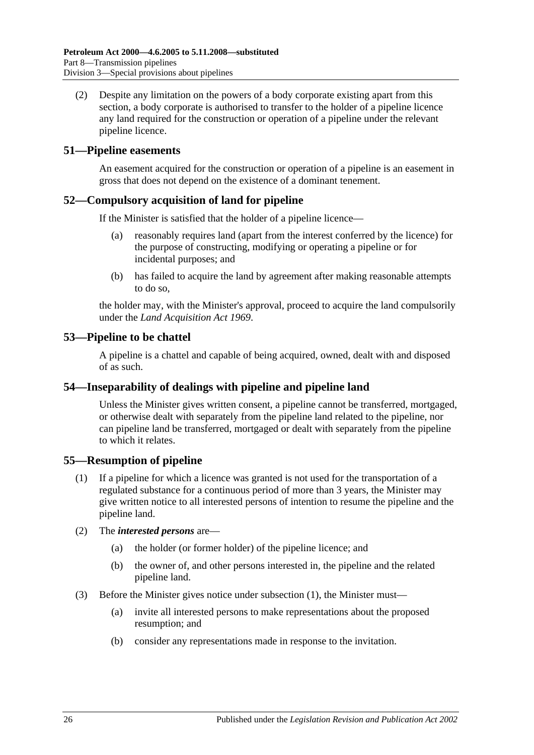(2) Despite any limitation on the powers of a body corporate existing apart from this section, a body corporate is authorised to transfer to the holder of a pipeline licence any land required for the construction or operation of a pipeline under the relevant pipeline licence.

#### <span id="page-25-0"></span>**51—Pipeline easements**

An easement acquired for the construction or operation of a pipeline is an easement in gross that does not depend on the existence of a dominant tenement.

## <span id="page-25-1"></span>**52—Compulsory acquisition of land for pipeline**

If the Minister is satisfied that the holder of a pipeline licence—

- (a) reasonably requires land (apart from the interest conferred by the licence) for the purpose of constructing, modifying or operating a pipeline or for incidental purposes; and
- (b) has failed to acquire the land by agreement after making reasonable attempts to do so,

the holder may, with the Minister's approval, proceed to acquire the land compulsorily under the *[Land Acquisition Act](http://www.legislation.sa.gov.au/index.aspx?action=legref&type=act&legtitle=Land%20Acquisition%20Act%201969) 1969*.

## <span id="page-25-2"></span>**53—Pipeline to be chattel**

A pipeline is a chattel and capable of being acquired, owned, dealt with and disposed of as such.

#### <span id="page-25-3"></span>**54—Inseparability of dealings with pipeline and pipeline land**

Unless the Minister gives written consent, a pipeline cannot be transferred, mortgaged, or otherwise dealt with separately from the pipeline land related to the pipeline, nor can pipeline land be transferred, mortgaged or dealt with separately from the pipeline to which it relates.

## <span id="page-25-5"></span><span id="page-25-4"></span>**55—Resumption of pipeline**

- (1) If a pipeline for which a licence was granted is not used for the transportation of a regulated substance for a continuous period of more than 3 years, the Minister may give written notice to all interested persons of intention to resume the pipeline and the pipeline land.
- (2) The *interested persons* are—
	- (a) the holder (or former holder) of the pipeline licence; and
	- (b) the owner of, and other persons interested in, the pipeline and the related pipeline land.
- (3) Before the Minister gives notice under [subsection](#page-25-5) (1), the Minister must—
	- (a) invite all interested persons to make representations about the proposed resumption; and
	- (b) consider any representations made in response to the invitation.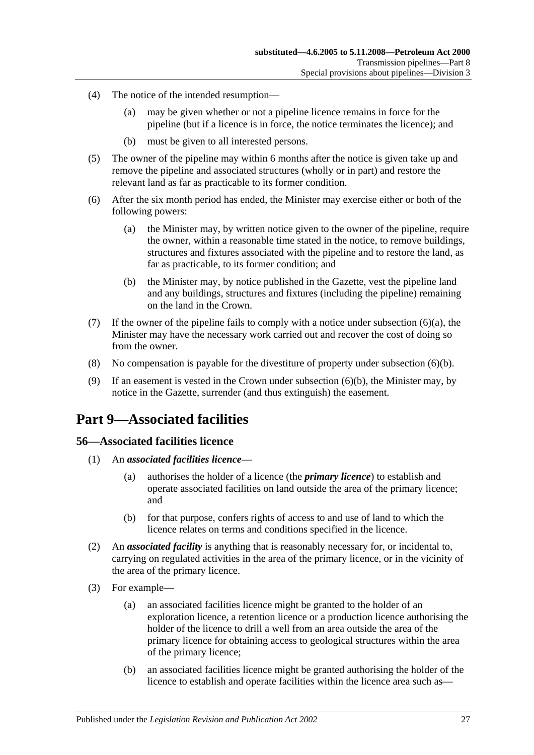- (4) The notice of the intended resumption—
	- (a) may be given whether or not a pipeline licence remains in force for the pipeline (but if a licence is in force, the notice terminates the licence); and
	- (b) must be given to all interested persons.
- (5) The owner of the pipeline may within 6 months after the notice is given take up and remove the pipeline and associated structures (wholly or in part) and restore the relevant land as far as practicable to its former condition.
- <span id="page-26-3"></span>(6) After the six month period has ended, the Minister may exercise either or both of the following powers:
	- (a) the Minister may, by written notice given to the owner of the pipeline, require the owner, within a reasonable time stated in the notice, to remove buildings, structures and fixtures associated with the pipeline and to restore the land, as far as practicable, to its former condition; and
	- (b) the Minister may, by notice published in the Gazette, vest the pipeline land and any buildings, structures and fixtures (including the pipeline) remaining on the land in the Crown.
- <span id="page-26-4"></span>(7) If the owner of the pipeline fails to comply with a notice under [subsection](#page-26-3)  $(6)(a)$ , the Minister may have the necessary work carried out and recover the cost of doing so from the owner.
- (8) No compensation is payable for the divestiture of property under [subsection](#page-26-4) (6)(b).
- (9) If an easement is vested in the Crown under [subsection](#page-26-4) (6)(b), the Minister may, by notice in the Gazette, surrender (and thus extinguish) the easement.

## <span id="page-26-0"></span>**Part 9—Associated facilities**

#### <span id="page-26-1"></span>**56—Associated facilities licence**

- (1) An *associated facilities licence*
	- (a) authorises the holder of a licence (the *primary licence*) to establish and operate associated facilities on land outside the area of the primary licence; and
	- (b) for that purpose, confers rights of access to and use of land to which the licence relates on terms and conditions specified in the licence.
- <span id="page-26-2"></span>(2) An *associated facility* is anything that is reasonably necessary for, or incidental to, carrying on regulated activities in the area of the primary licence, or in the vicinity of the area of the primary licence.
- (3) For example—
	- (a) an associated facilities licence might be granted to the holder of an exploration licence, a retention licence or a production licence authorising the holder of the licence to drill a well from an area outside the area of the primary licence for obtaining access to geological structures within the area of the primary licence;
	- (b) an associated facilities licence might be granted authorising the holder of the licence to establish and operate facilities within the licence area such as—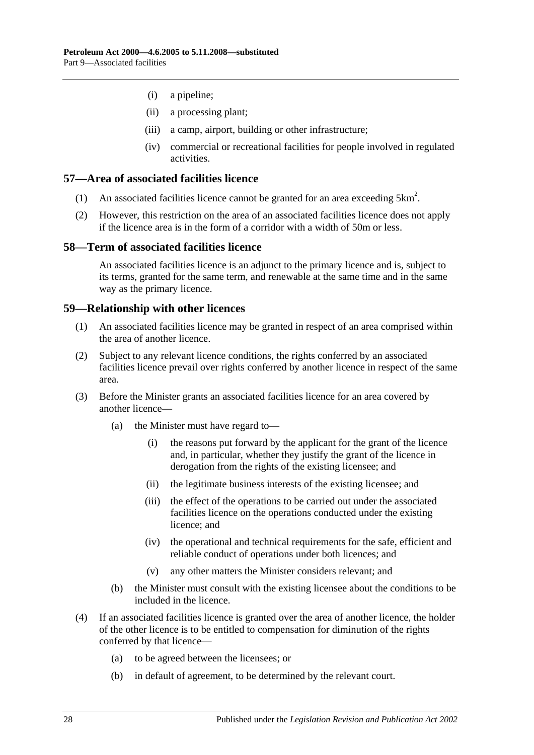- (i) a pipeline;
- (ii) a processing plant;
- (iii) a camp, airport, building or other infrastructure;
- (iv) commercial or recreational facilities for people involved in regulated activities.

#### <span id="page-27-0"></span>**57—Area of associated facilities licence**

- (1) An associated facilities licence cannot be granted for an area exceeding  $5 \text{km}^2$ .
- (2) However, this restriction on the area of an associated facilities licence does not apply if the licence area is in the form of a corridor with a width of 50m or less.

#### <span id="page-27-1"></span>**58—Term of associated facilities licence**

An associated facilities licence is an adjunct to the primary licence and is, subject to its terms, granted for the same term, and renewable at the same time and in the same way as the primary licence.

#### <span id="page-27-2"></span>**59—Relationship with other licences**

- (1) An associated facilities licence may be granted in respect of an area comprised within the area of another licence.
- (2) Subject to any relevant licence conditions, the rights conferred by an associated facilities licence prevail over rights conferred by another licence in respect of the same area.
- (3) Before the Minister grants an associated facilities licence for an area covered by another licence—
	- (a) the Minister must have regard to—
		- (i) the reasons put forward by the applicant for the grant of the licence and, in particular, whether they justify the grant of the licence in derogation from the rights of the existing licensee; and
		- (ii) the legitimate business interests of the existing licensee; and
		- (iii) the effect of the operations to be carried out under the associated facilities licence on the operations conducted under the existing licence; and
		- (iv) the operational and technical requirements for the safe, efficient and reliable conduct of operations under both licences; and
		- (v) any other matters the Minister considers relevant; and
	- (b) the Minister must consult with the existing licensee about the conditions to be included in the licence.
- (4) If an associated facilities licence is granted over the area of another licence, the holder of the other licence is to be entitled to compensation for diminution of the rights conferred by that licence—
	- (a) to be agreed between the licensees; or
	- (b) in default of agreement, to be determined by the relevant court.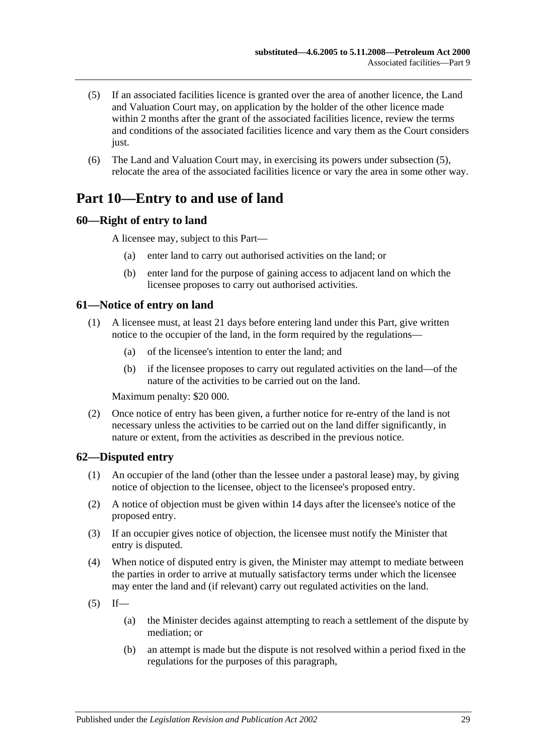- <span id="page-28-4"></span>(5) If an associated facilities licence is granted over the area of another licence, the Land and Valuation Court may, on application by the holder of the other licence made within 2 months after the grant of the associated facilities licence, review the terms and conditions of the associated facilities licence and vary them as the Court considers just.
- (6) The Land and Valuation Court may, in exercising its powers under [subsection](#page-28-4) (5), relocate the area of the associated facilities licence or vary the area in some other way.

## <span id="page-28-0"></span>**Part 10—Entry to and use of land**

#### <span id="page-28-1"></span>**60—Right of entry to land**

A licensee may, subject to this Part—

- (a) enter land to carry out authorised activities on the land; or
- (b) enter land for the purpose of gaining access to adjacent land on which the licensee proposes to carry out authorised activities.

#### <span id="page-28-2"></span>**61—Notice of entry on land**

- (1) A licensee must, at least 21 days before entering land under this Part, give written notice to the occupier of the land, in the form required by the regulations—
	- (a) of the licensee's intention to enter the land; and
	- (b) if the licensee proposes to carry out regulated activities on the land—of the nature of the activities to be carried out on the land.

Maximum penalty: \$20 000.

(2) Once notice of entry has been given, a further notice for re-entry of the land is not necessary unless the activities to be carried out on the land differ significantly, in nature or extent, from the activities as described in the previous notice.

#### <span id="page-28-3"></span>**62—Disputed entry**

- (1) An occupier of the land (other than the lessee under a pastoral lease) may, by giving notice of objection to the licensee, object to the licensee's proposed entry.
- (2) A notice of objection must be given within 14 days after the licensee's notice of the proposed entry.
- (3) If an occupier gives notice of objection, the licensee must notify the Minister that entry is disputed.
- (4) When notice of disputed entry is given, the Minister may attempt to mediate between the parties in order to arrive at mutually satisfactory terms under which the licensee may enter the land and (if relevant) carry out regulated activities on the land.
- $(5)$  If—
	- (a) the Minister decides against attempting to reach a settlement of the dispute by mediation; or
	- (b) an attempt is made but the dispute is not resolved within a period fixed in the regulations for the purposes of this paragraph,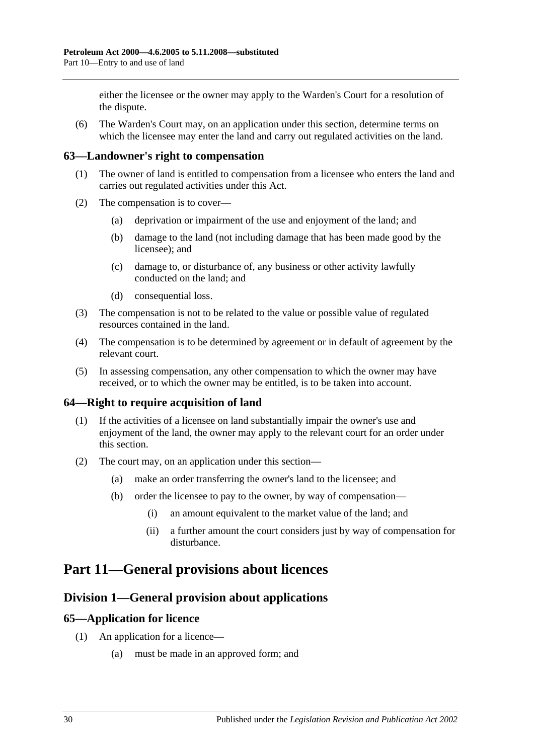either the licensee or the owner may apply to the Warden's Court for a resolution of the dispute.

(6) The Warden's Court may, on an application under this section, determine terms on which the licensee may enter the land and carry out regulated activities on the land.

#### <span id="page-29-0"></span>**63—Landowner's right to compensation**

- (1) The owner of land is entitled to compensation from a licensee who enters the land and carries out regulated activities under this Act.
- (2) The compensation is to cover—
	- (a) deprivation or impairment of the use and enjoyment of the land; and
	- (b) damage to the land (not including damage that has been made good by the licensee); and
	- (c) damage to, or disturbance of, any business or other activity lawfully conducted on the land; and
	- (d) consequential loss.
- (3) The compensation is not to be related to the value or possible value of regulated resources contained in the land.
- (4) The compensation is to be determined by agreement or in default of agreement by the relevant court.
- (5) In assessing compensation, any other compensation to which the owner may have received, or to which the owner may be entitled, is to be taken into account.

## <span id="page-29-1"></span>**64—Right to require acquisition of land**

- (1) If the activities of a licensee on land substantially impair the owner's use and enjoyment of the land, the owner may apply to the relevant court for an order under this section.
- (2) The court may, on an application under this section—
	- (a) make an order transferring the owner's land to the licensee; and
	- (b) order the licensee to pay to the owner, by way of compensation—
		- (i) an amount equivalent to the market value of the land; and
		- (ii) a further amount the court considers just by way of compensation for disturbance.

## <span id="page-29-3"></span><span id="page-29-2"></span>**Part 11—General provisions about licences**

## **Division 1—General provision about applications**

#### <span id="page-29-4"></span>**65—Application for licence**

- (1) An application for a licence—
	- (a) must be made in an approved form; and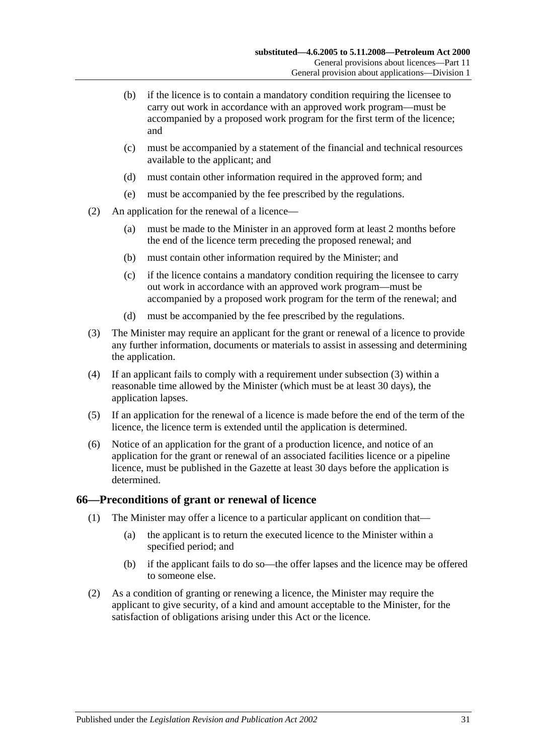- (b) if the licence is to contain a mandatory condition requiring the licensee to carry out work in accordance with an approved work program—must be accompanied by a proposed work program for the first term of the licence; and
- (c) must be accompanied by a statement of the financial and technical resources available to the applicant; and
- (d) must contain other information required in the approved form; and
- (e) must be accompanied by the fee prescribed by the regulations.
- (2) An application for the renewal of a licence—
	- (a) must be made to the Minister in an approved form at least 2 months before the end of the licence term preceding the proposed renewal; and
	- (b) must contain other information required by the Minister; and
	- (c) if the licence contains a mandatory condition requiring the licensee to carry out work in accordance with an approved work program—must be accompanied by a proposed work program for the term of the renewal; and
	- (d) must be accompanied by the fee prescribed by the regulations.
- <span id="page-30-1"></span>(3) The Minister may require an applicant for the grant or renewal of a licence to provide any further information, documents or materials to assist in assessing and determining the application.
- (4) If an applicant fails to comply with a requirement under [subsection](#page-30-1) (3) within a reasonable time allowed by the Minister (which must be at least 30 days), the application lapses.
- (5) If an application for the renewal of a licence is made before the end of the term of the licence, the licence term is extended until the application is determined.
- (6) Notice of an application for the grant of a production licence, and notice of an application for the grant or renewal of an associated facilities licence or a pipeline licence, must be published in the Gazette at least 30 days before the application is determined.

#### <span id="page-30-0"></span>**66—Preconditions of grant or renewal of licence**

- (1) The Minister may offer a licence to a particular applicant on condition that—
	- (a) the applicant is to return the executed licence to the Minister within a specified period; and
	- (b) if the applicant fails to do so—the offer lapses and the licence may be offered to someone else.
- (2) As a condition of granting or renewing a licence, the Minister may require the applicant to give security, of a kind and amount acceptable to the Minister, for the satisfaction of obligations arising under this Act or the licence.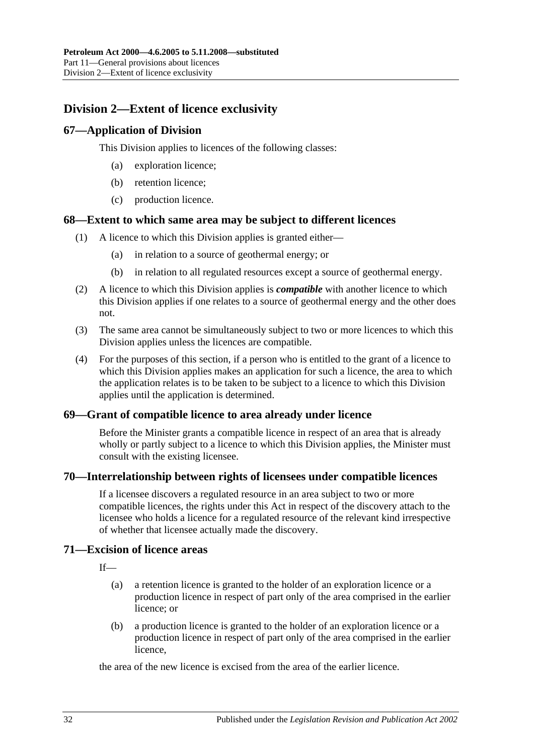## <span id="page-31-0"></span>**Division 2—Extent of licence exclusivity**

## <span id="page-31-1"></span>**67—Application of Division**

This Division applies to licences of the following classes:

- (a) exploration licence;
- (b) retention licence;
- (c) production licence.

#### <span id="page-31-2"></span>**68—Extent to which same area may be subject to different licences**

- (1) A licence to which this Division applies is granted either—
	- (a) in relation to a source of geothermal energy; or
	- (b) in relation to all regulated resources except a source of geothermal energy.
- (2) A licence to which this Division applies is *compatible* with another licence to which this Division applies if one relates to a source of geothermal energy and the other does not.
- (3) The same area cannot be simultaneously subject to two or more licences to which this Division applies unless the licences are compatible.
- (4) For the purposes of this section, if a person who is entitled to the grant of a licence to which this Division applies makes an application for such a licence, the area to which the application relates is to be taken to be subject to a licence to which this Division applies until the application is determined.

## <span id="page-31-3"></span>**69—Grant of compatible licence to area already under licence**

Before the Minister grants a compatible licence in respect of an area that is already wholly or partly subject to a licence to which this Division applies, the Minister must consult with the existing licensee.

#### <span id="page-31-4"></span>**70—Interrelationship between rights of licensees under compatible licences**

If a licensee discovers a regulated resource in an area subject to two or more compatible licences, the rights under this Act in respect of the discovery attach to the licensee who holds a licence for a regulated resource of the relevant kind irrespective of whether that licensee actually made the discovery.

## <span id="page-31-5"></span>**71—Excision of licence areas**

 $If$ <sub>—</sub>

- (a) a retention licence is granted to the holder of an exploration licence or a production licence in respect of part only of the area comprised in the earlier licence; or
- (b) a production licence is granted to the holder of an exploration licence or a production licence in respect of part only of the area comprised in the earlier licence,

the area of the new licence is excised from the area of the earlier licence.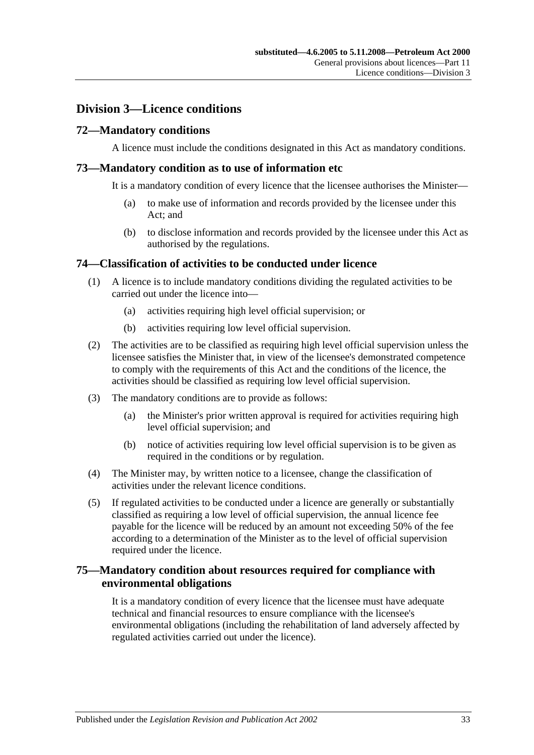## <span id="page-32-0"></span>**Division 3—Licence conditions**

## <span id="page-32-1"></span>**72—Mandatory conditions**

A licence must include the conditions designated in this Act as mandatory conditions.

#### <span id="page-32-2"></span>**73—Mandatory condition as to use of information etc**

It is a mandatory condition of every licence that the licensee authorises the Minister—

- (a) to make use of information and records provided by the licensee under this Act; and
- (b) to disclose information and records provided by the licensee under this Act as authorised by the regulations.

#### <span id="page-32-3"></span>**74—Classification of activities to be conducted under licence**

- (1) A licence is to include mandatory conditions dividing the regulated activities to be carried out under the licence into—
	- (a) activities requiring high level official supervision; or
	- (b) activities requiring low level official supervision.
- (2) The activities are to be classified as requiring high level official supervision unless the licensee satisfies the Minister that, in view of the licensee's demonstrated competence to comply with the requirements of this Act and the conditions of the licence, the activities should be classified as requiring low level official supervision.
- (3) The mandatory conditions are to provide as follows:
	- (a) the Minister's prior written approval is required for activities requiring high level official supervision; and
	- (b) notice of activities requiring low level official supervision is to be given as required in the conditions or by regulation.
- <span id="page-32-5"></span>(4) The Minister may, by written notice to a licensee, change the classification of activities under the relevant licence conditions.
- (5) If regulated activities to be conducted under a licence are generally or substantially classified as requiring a low level of official supervision, the annual licence fee payable for the licence will be reduced by an amount not exceeding 50% of the fee according to a determination of the Minister as to the level of official supervision required under the licence.

## <span id="page-32-4"></span>**75—Mandatory condition about resources required for compliance with environmental obligations**

It is a mandatory condition of every licence that the licensee must have adequate technical and financial resources to ensure compliance with the licensee's environmental obligations (including the rehabilitation of land adversely affected by regulated activities carried out under the licence).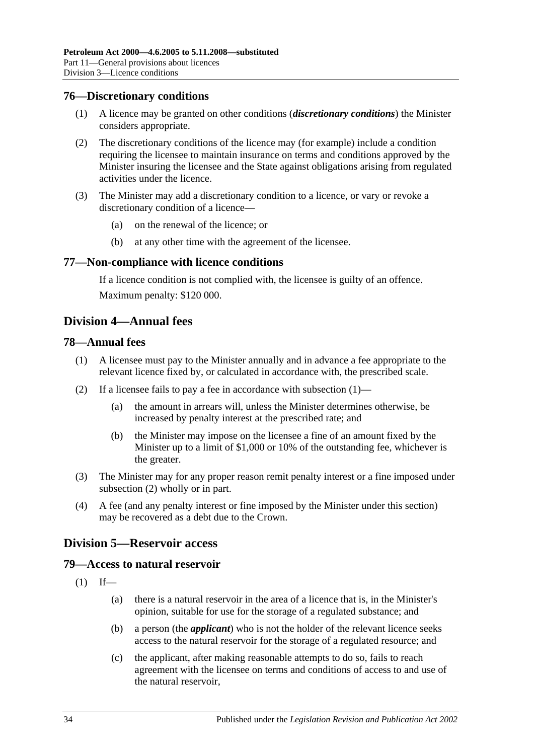#### <span id="page-33-0"></span>**76—Discretionary conditions**

- (1) A licence may be granted on other conditions (*discretionary conditions*) the Minister considers appropriate.
- (2) The discretionary conditions of the licence may (for example) include a condition requiring the licensee to maintain insurance on terms and conditions approved by the Minister insuring the licensee and the State against obligations arising from regulated activities under the licence.
- (3) The Minister may add a discretionary condition to a licence, or vary or revoke a discretionary condition of a licence—
	- (a) on the renewal of the licence; or
	- (b) at any other time with the agreement of the licensee.

#### <span id="page-33-1"></span>**77—Non-compliance with licence conditions**

If a licence condition is not complied with, the licensee is guilty of an offence. Maximum penalty: \$120 000.

## <span id="page-33-2"></span>**Division 4—Annual fees**

#### <span id="page-33-6"></span><span id="page-33-3"></span>**78—Annual fees**

- (1) A licensee must pay to the Minister annually and in advance a fee appropriate to the relevant licence fixed by, or calculated in accordance with, the prescribed scale.
- <span id="page-33-7"></span>(2) If a licensee fails to pay a fee in accordance with [subsection](#page-33-6) (1)—
	- (a) the amount in arrears will, unless the Minister determines otherwise, be increased by penalty interest at the prescribed rate; and
	- (b) the Minister may impose on the licensee a fine of an amount fixed by the Minister up to a limit of \$1,000 or 10% of the outstanding fee, whichever is the greater.
- (3) The Minister may for any proper reason remit penalty interest or a fine imposed under [subsection](#page-33-7) (2) wholly or in part.
- (4) A fee (and any penalty interest or fine imposed by the Minister under this section) may be recovered as a debt due to the Crown.

## <span id="page-33-4"></span>**Division 5—Reservoir access**

#### <span id="page-33-5"></span>**79—Access to natural reservoir**

- $(1)$  If—
	- (a) there is a natural reservoir in the area of a licence that is, in the Minister's opinion, suitable for use for the storage of a regulated substance; and
	- (b) a person (the *applicant*) who is not the holder of the relevant licence seeks access to the natural reservoir for the storage of a regulated resource; and
	- (c) the applicant, after making reasonable attempts to do so, fails to reach agreement with the licensee on terms and conditions of access to and use of the natural reservoir,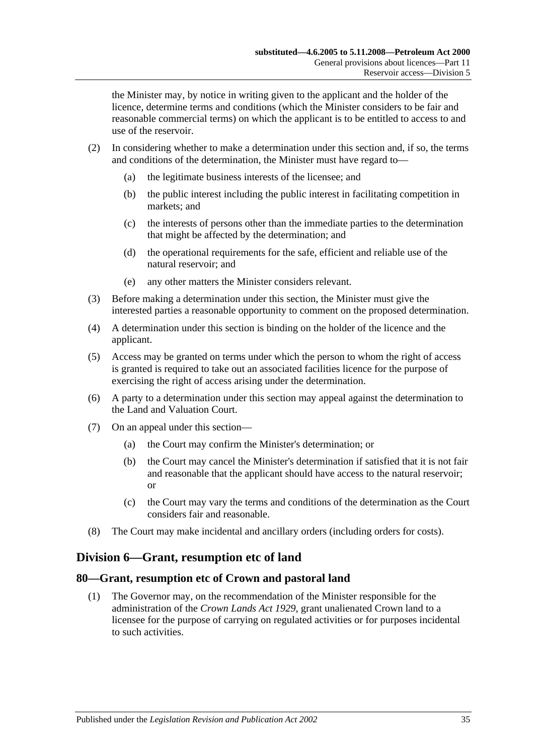the Minister may, by notice in writing given to the applicant and the holder of the licence, determine terms and conditions (which the Minister considers to be fair and reasonable commercial terms) on which the applicant is to be entitled to access to and use of the reservoir.

- (2) In considering whether to make a determination under this section and, if so, the terms and conditions of the determination, the Minister must have regard to—
	- (a) the legitimate business interests of the licensee; and
	- (b) the public interest including the public interest in facilitating competition in markets; and
	- (c) the interests of persons other than the immediate parties to the determination that might be affected by the determination; and
	- (d) the operational requirements for the safe, efficient and reliable use of the natural reservoir; and
	- (e) any other matters the Minister considers relevant.
- (3) Before making a determination under this section, the Minister must give the interested parties a reasonable opportunity to comment on the proposed determination.
- (4) A determination under this section is binding on the holder of the licence and the applicant.
- (5) Access may be granted on terms under which the person to whom the right of access is granted is required to take out an associated facilities licence for the purpose of exercising the right of access arising under the determination.
- (6) A party to a determination under this section may appeal against the determination to the Land and Valuation Court.
- (7) On an appeal under this section—
	- (a) the Court may confirm the Minister's determination; or
	- (b) the Court may cancel the Minister's determination if satisfied that it is not fair and reasonable that the applicant should have access to the natural reservoir; or
	- (c) the Court may vary the terms and conditions of the determination as the Court considers fair and reasonable.
- (8) The Court may make incidental and ancillary orders (including orders for costs).

## <span id="page-34-0"></span>**Division 6—Grant, resumption etc of land**

#### <span id="page-34-1"></span>**80—Grant, resumption etc of Crown and pastoral land**

(1) The Governor may, on the recommendation of the Minister responsible for the administration of the *[Crown Lands Act](http://www.legislation.sa.gov.au/index.aspx?action=legref&type=act&legtitle=Crown%20Lands%20Act%201929) 1929*, grant unalienated Crown land to a licensee for the purpose of carrying on regulated activities or for purposes incidental to such activities.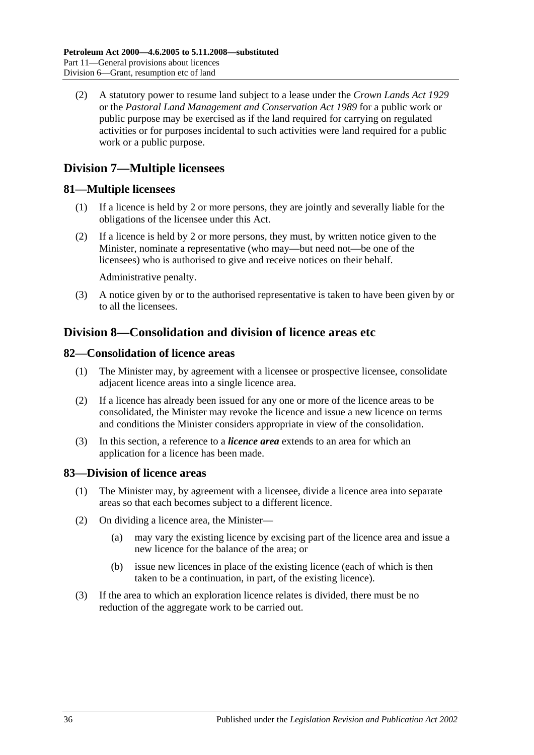(2) A statutory power to resume land subject to a lease under the *[Crown Lands Act](http://www.legislation.sa.gov.au/index.aspx?action=legref&type=act&legtitle=Crown%20Lands%20Act%201929) 1929* or the *[Pastoral Land Management and Conservation Act](http://www.legislation.sa.gov.au/index.aspx?action=legref&type=act&legtitle=Pastoral%20Land%20Management%20and%20Conservation%20Act%201989) 1989* for a public work or public purpose may be exercised as if the land required for carrying on regulated activities or for purposes incidental to such activities were land required for a public work or a public purpose.

## <span id="page-35-0"></span>**Division 7—Multiple licensees**

## <span id="page-35-1"></span>**81—Multiple licensees**

- (1) If a licence is held by 2 or more persons, they are jointly and severally liable for the obligations of the licensee under this Act.
- (2) If a licence is held by 2 or more persons, they must, by written notice given to the Minister, nominate a representative (who may—but need not—be one of the licensees) who is authorised to give and receive notices on their behalf.

Administrative penalty.

(3) A notice given by or to the authorised representative is taken to have been given by or to all the licensees.

## <span id="page-35-2"></span>**Division 8—Consolidation and division of licence areas etc**

## <span id="page-35-3"></span>**82—Consolidation of licence areas**

- (1) The Minister may, by agreement with a licensee or prospective licensee, consolidate adjacent licence areas into a single licence area.
- (2) If a licence has already been issued for any one or more of the licence areas to be consolidated, the Minister may revoke the licence and issue a new licence on terms and conditions the Minister considers appropriate in view of the consolidation.
- (3) In this section, a reference to a *licence area* extends to an area for which an application for a licence has been made.

## <span id="page-35-4"></span>**83—Division of licence areas**

- (1) The Minister may, by agreement with a licensee, divide a licence area into separate areas so that each becomes subject to a different licence.
- (2) On dividing a licence area, the Minister—
	- (a) may vary the existing licence by excising part of the licence area and issue a new licence for the balance of the area; or
	- (b) issue new licences in place of the existing licence (each of which is then taken to be a continuation, in part, of the existing licence).
- (3) If the area to which an exploration licence relates is divided, there must be no reduction of the aggregate work to be carried out.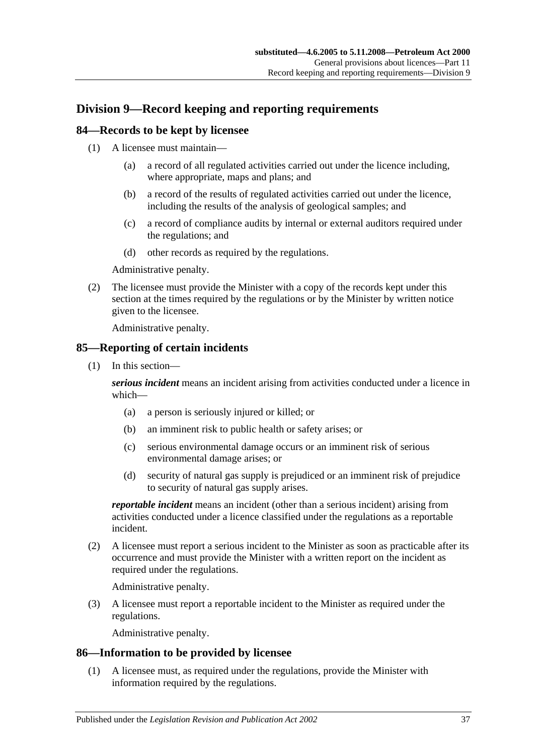## <span id="page-36-0"></span>**Division 9—Record keeping and reporting requirements**

#### <span id="page-36-1"></span>**84—Records to be kept by licensee**

- (1) A licensee must maintain—
	- (a) a record of all regulated activities carried out under the licence including, where appropriate, maps and plans; and
	- (b) a record of the results of regulated activities carried out under the licence, including the results of the analysis of geological samples; and
	- (c) a record of compliance audits by internal or external auditors required under the regulations; and
	- (d) other records as required by the regulations.

Administrative penalty.

(2) The licensee must provide the Minister with a copy of the records kept under this section at the times required by the regulations or by the Minister by written notice given to the licensee.

Administrative penalty.

## <span id="page-36-2"></span>**85—Reporting of certain incidents**

(1) In this section—

*serious incident* means an incident arising from activities conducted under a licence in which—

- (a) a person is seriously injured or killed; or
- (b) an imminent risk to public health or safety arises; or
- (c) serious environmental damage occurs or an imminent risk of serious environmental damage arises; or
- (d) security of natural gas supply is prejudiced or an imminent risk of prejudice to security of natural gas supply arises.

*reportable incident* means an incident (other than a serious incident) arising from activities conducted under a licence classified under the regulations as a reportable incident.

(2) A licensee must report a serious incident to the Minister as soon as practicable after its occurrence and must provide the Minister with a written report on the incident as required under the regulations.

Administrative penalty.

(3) A licensee must report a reportable incident to the Minister as required under the regulations.

Administrative penalty.

#### <span id="page-36-3"></span>**86—Information to be provided by licensee**

(1) A licensee must, as required under the regulations, provide the Minister with information required by the regulations.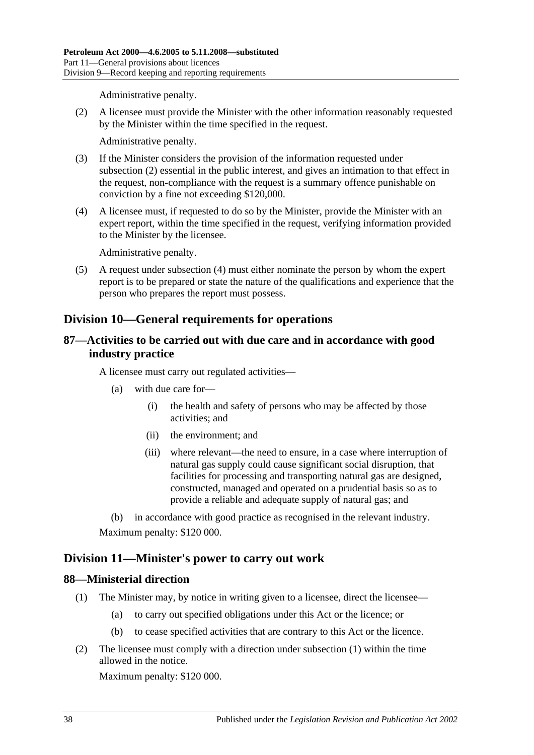Administrative penalty.

<span id="page-37-4"></span>(2) A licensee must provide the Minister with the other information reasonably requested by the Minister within the time specified in the request.

Administrative penalty.

- (3) If the Minister considers the provision of the information requested under [subsection](#page-37-4) (2) essential in the public interest, and gives an intimation to that effect in the request, non-compliance with the request is a summary offence punishable on conviction by a fine not exceeding \$120,000.
- <span id="page-37-5"></span>(4) A licensee must, if requested to do so by the Minister, provide the Minister with an expert report, within the time specified in the request, verifying information provided to the Minister by the licensee.

Administrative penalty.

(5) A request under [subsection](#page-37-5) (4) must either nominate the person by whom the expert report is to be prepared or state the nature of the qualifications and experience that the person who prepares the report must possess.

## <span id="page-37-0"></span>**Division 10—General requirements for operations**

## <span id="page-37-1"></span>**87—Activities to be carried out with due care and in accordance with good industry practice**

A licensee must carry out regulated activities—

- (a) with due care for—
	- (i) the health and safety of persons who may be affected by those activities; and
	- (ii) the environment; and
	- (iii) where relevant—the need to ensure, in a case where interruption of natural gas supply could cause significant social disruption, that facilities for processing and transporting natural gas are designed, constructed, managed and operated on a prudential basis so as to provide a reliable and adequate supply of natural gas; and

(b) in accordance with good practice as recognised in the relevant industry. Maximum penalty: \$120 000.

## <span id="page-37-2"></span>**Division 11—Minister's power to carry out work**

#### <span id="page-37-6"></span><span id="page-37-3"></span>**88—Ministerial direction**

- <span id="page-37-7"></span>(1) The Minister may, by notice in writing given to a licensee, direct the licensee—
	- (a) to carry out specified obligations under this Act or the licence; or
	- (b) to cease specified activities that are contrary to this Act or the licence.
- (2) The licensee must comply with a direction under [subsection](#page-37-6) (1) within the time allowed in the notice.

Maximum penalty: \$120 000.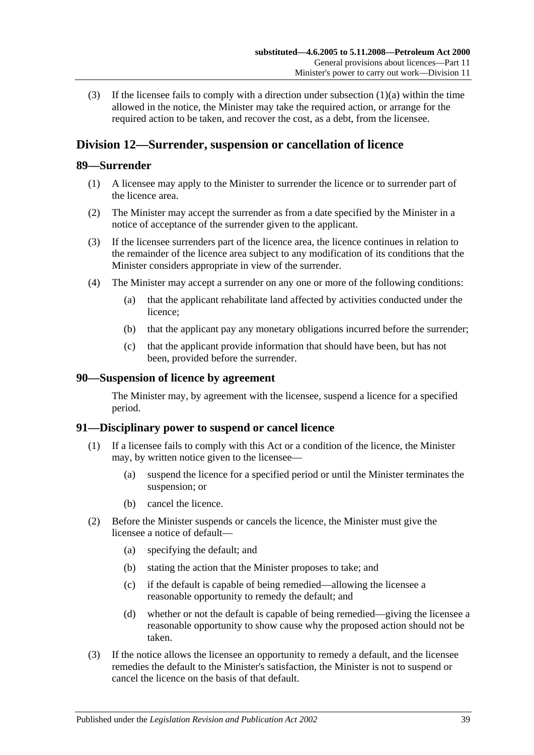(3) If the licensee fails to comply with a direction under [subsection](#page-37-7) (1)(a) within the time allowed in the notice, the Minister may take the required action, or arrange for the required action to be taken, and recover the cost, as a debt, from the licensee.

## <span id="page-38-0"></span>**Division 12—Surrender, suspension or cancellation of licence**

#### <span id="page-38-1"></span>**89—Surrender**

- (1) A licensee may apply to the Minister to surrender the licence or to surrender part of the licence area.
- (2) The Minister may accept the surrender as from a date specified by the Minister in a notice of acceptance of the surrender given to the applicant.
- (3) If the licensee surrenders part of the licence area, the licence continues in relation to the remainder of the licence area subject to any modification of its conditions that the Minister considers appropriate in view of the surrender.
- (4) The Minister may accept a surrender on any one or more of the following conditions:
	- (a) that the applicant rehabilitate land affected by activities conducted under the licence;
	- (b) that the applicant pay any monetary obligations incurred before the surrender;
	- (c) that the applicant provide information that should have been, but has not been, provided before the surrender.

#### <span id="page-38-2"></span>**90—Suspension of licence by agreement**

The Minister may, by agreement with the licensee, suspend a licence for a specified period.

## <span id="page-38-3"></span>**91—Disciplinary power to suspend or cancel licence**

- (1) If a licensee fails to comply with this Act or a condition of the licence, the Minister may, by written notice given to the licensee—
	- (a) suspend the licence for a specified period or until the Minister terminates the suspension; or
	- (b) cancel the licence.
- (2) Before the Minister suspends or cancels the licence, the Minister must give the licensee a notice of default—
	- (a) specifying the default; and
	- (b) stating the action that the Minister proposes to take; and
	- (c) if the default is capable of being remedied—allowing the licensee a reasonable opportunity to remedy the default; and
	- (d) whether or not the default is capable of being remedied—giving the licensee a reasonable opportunity to show cause why the proposed action should not be taken.
- (3) If the notice allows the licensee an opportunity to remedy a default, and the licensee remedies the default to the Minister's satisfaction, the Minister is not to suspend or cancel the licence on the basis of that default.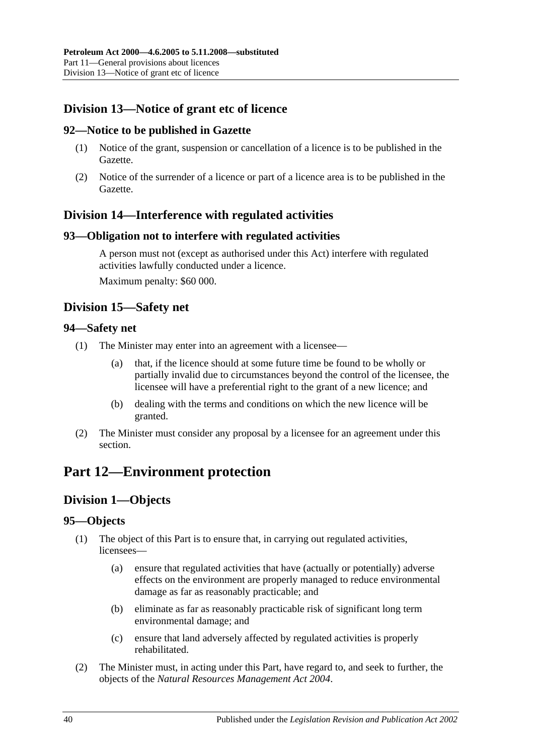## <span id="page-39-0"></span>**Division 13—Notice of grant etc of licence**

## <span id="page-39-1"></span>**92—Notice to be published in Gazette**

- (1) Notice of the grant, suspension or cancellation of a licence is to be published in the Gazette.
- (2) Notice of the surrender of a licence or part of a licence area is to be published in the Gazette.

## <span id="page-39-2"></span>**Division 14—Interference with regulated activities**

#### <span id="page-39-3"></span>**93—Obligation not to interfere with regulated activities**

A person must not (except as authorised under this Act) interfere with regulated activities lawfully conducted under a licence. Maximum penalty: \$60 000.

## <span id="page-39-4"></span>**Division 15—Safety net**

#### <span id="page-39-5"></span>**94—Safety net**

- (1) The Minister may enter into an agreement with a licensee—
	- (a) that, if the licence should at some future time be found to be wholly or partially invalid due to circumstances beyond the control of the licensee, the licensee will have a preferential right to the grant of a new licence; and
	- (b) dealing with the terms and conditions on which the new licence will be granted.
- (2) The Minister must consider any proposal by a licensee for an agreement under this section.

## <span id="page-39-7"></span><span id="page-39-6"></span>**Part 12—Environment protection**

## **Division 1—Objects**

## <span id="page-39-8"></span>**95—Objects**

- (1) The object of this Part is to ensure that, in carrying out regulated activities, licensees—
	- (a) ensure that regulated activities that have (actually or potentially) adverse effects on the environment are properly managed to reduce environmental damage as far as reasonably practicable; and
	- (b) eliminate as far as reasonably practicable risk of significant long term environmental damage; and
	- (c) ensure that land adversely affected by regulated activities is properly rehabilitated.
- (2) The Minister must, in acting under this Part, have regard to, and seek to further, the objects of the *[Natural Resources Management Act](http://www.legislation.sa.gov.au/index.aspx?action=legref&type=act&legtitle=Natural%20Resources%20Management%20Act%202004) 2004*.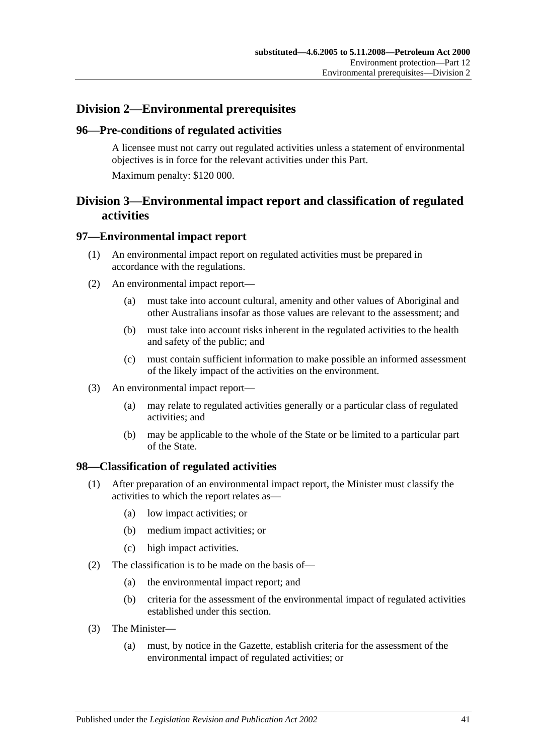## <span id="page-40-0"></span>**Division 2—Environmental prerequisites**

#### <span id="page-40-1"></span>**96—Pre-conditions of regulated activities**

A licensee must not carry out regulated activities unless a statement of environmental objectives is in force for the relevant activities under this Part. Maximum penalty: \$120 000.

## <span id="page-40-2"></span>**Division 3—Environmental impact report and classification of regulated activities**

#### <span id="page-40-3"></span>**97—Environmental impact report**

- (1) An environmental impact report on regulated activities must be prepared in accordance with the regulations.
- (2) An environmental impact report—
	- (a) must take into account cultural, amenity and other values of Aboriginal and other Australians insofar as those values are relevant to the assessment; and
	- (b) must take into account risks inherent in the regulated activities to the health and safety of the public; and
	- (c) must contain sufficient information to make possible an informed assessment of the likely impact of the activities on the environment.
- (3) An environmental impact report—
	- (a) may relate to regulated activities generally or a particular class of regulated activities; and
	- (b) may be applicable to the whole of the State or be limited to a particular part of the State.

#### <span id="page-40-4"></span>**98—Classification of regulated activities**

- (1) After preparation of an environmental impact report, the Minister must classify the activities to which the report relates as—
	- (a) low impact activities; or
	- (b) medium impact activities; or
	- (c) high impact activities.
- (2) The classification is to be made on the basis of—
	- (a) the environmental impact report; and
	- (b) criteria for the assessment of the environmental impact of regulated activities established under this section.
- (3) The Minister—
	- (a) must, by notice in the Gazette, establish criteria for the assessment of the environmental impact of regulated activities; or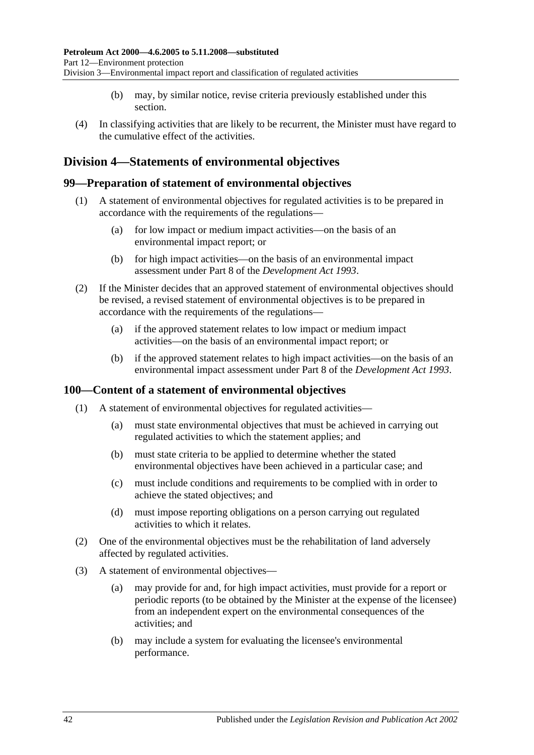- (b) may, by similar notice, revise criteria previously established under this section.
- (4) In classifying activities that are likely to be recurrent, the Minister must have regard to the cumulative effect of the activities.

## <span id="page-41-0"></span>**Division 4—Statements of environmental objectives**

#### <span id="page-41-1"></span>**99—Preparation of statement of environmental objectives**

- (1) A statement of environmental objectives for regulated activities is to be prepared in accordance with the requirements of the regulations—
	- (a) for low impact or medium impact activities—on the basis of an environmental impact report; or
	- (b) for high impact activities—on the basis of an environmental impact assessment under Part 8 of the *[Development Act](http://www.legislation.sa.gov.au/index.aspx?action=legref&type=act&legtitle=Development%20Act%201993) 1993*.
- (2) If the Minister decides that an approved statement of environmental objectives should be revised, a revised statement of environmental objectives is to be prepared in accordance with the requirements of the regulations—
	- (a) if the approved statement relates to low impact or medium impact activities—on the basis of an environmental impact report; or
	- (b) if the approved statement relates to high impact activities—on the basis of an environmental impact assessment under Part 8 of the *[Development Act](http://www.legislation.sa.gov.au/index.aspx?action=legref&type=act&legtitle=Development%20Act%201993) 1993*.

## <span id="page-41-2"></span>**100—Content of a statement of environmental objectives**

- (1) A statement of environmental objectives for regulated activities—
	- (a) must state environmental objectives that must be achieved in carrying out regulated activities to which the statement applies; and
	- (b) must state criteria to be applied to determine whether the stated environmental objectives have been achieved in a particular case; and
	- (c) must include conditions and requirements to be complied with in order to achieve the stated objectives; and
	- (d) must impose reporting obligations on a person carrying out regulated activities to which it relates.
- (2) One of the environmental objectives must be the rehabilitation of land adversely affected by regulated activities.
- (3) A statement of environmental objectives—
	- (a) may provide for and, for high impact activities, must provide for a report or periodic reports (to be obtained by the Minister at the expense of the licensee) from an independent expert on the environmental consequences of the activities; and
	- (b) may include a system for evaluating the licensee's environmental performance.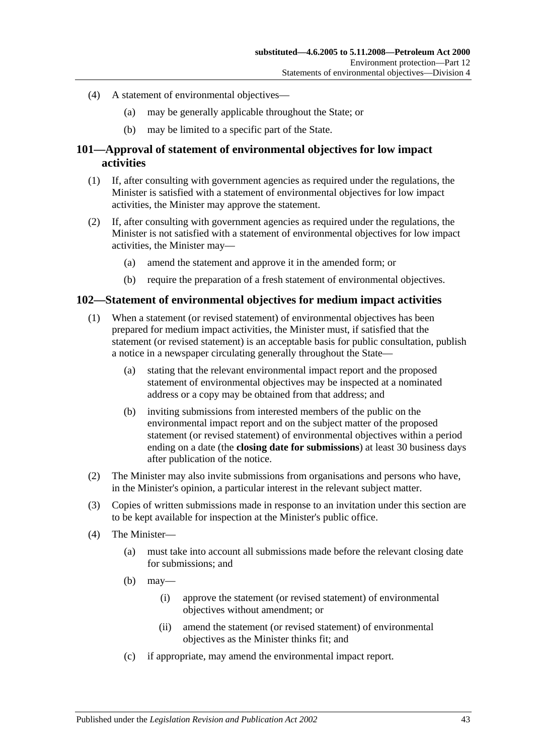- (4) A statement of environmental objectives—
	- (a) may be generally applicable throughout the State; or
	- (b) may be limited to a specific part of the State.

## <span id="page-42-0"></span>**101—Approval of statement of environmental objectives for low impact activities**

- (1) If, after consulting with government agencies as required under the regulations, the Minister is satisfied with a statement of environmental objectives for low impact activities, the Minister may approve the statement.
- (2) If, after consulting with government agencies as required under the regulations, the Minister is not satisfied with a statement of environmental objectives for low impact activities, the Minister may—
	- (a) amend the statement and approve it in the amended form; or
	- (b) require the preparation of a fresh statement of environmental objectives.

#### <span id="page-42-1"></span>**102—Statement of environmental objectives for medium impact activities**

- (1) When a statement (or revised statement) of environmental objectives has been prepared for medium impact activities, the Minister must, if satisfied that the statement (or revised statement) is an acceptable basis for public consultation, publish a notice in a newspaper circulating generally throughout the State—
	- (a) stating that the relevant environmental impact report and the proposed statement of environmental objectives may be inspected at a nominated address or a copy may be obtained from that address; and
	- (b) inviting submissions from interested members of the public on the environmental impact report and on the subject matter of the proposed statement (or revised statement) of environmental objectives within a period ending on a date (the **closing date for submissions**) at least 30 business days after publication of the notice.
- (2) The Minister may also invite submissions from organisations and persons who have, in the Minister's opinion, a particular interest in the relevant subject matter.
- (3) Copies of written submissions made in response to an invitation under this section are to be kept available for inspection at the Minister's public office.
- (4) The Minister—
	- (a) must take into account all submissions made before the relevant closing date for submissions; and
	- $(b)$  may—
		- (i) approve the statement (or revised statement) of environmental objectives without amendment; or
		- (ii) amend the statement (or revised statement) of environmental objectives as the Minister thinks fit; and
	- (c) if appropriate, may amend the environmental impact report.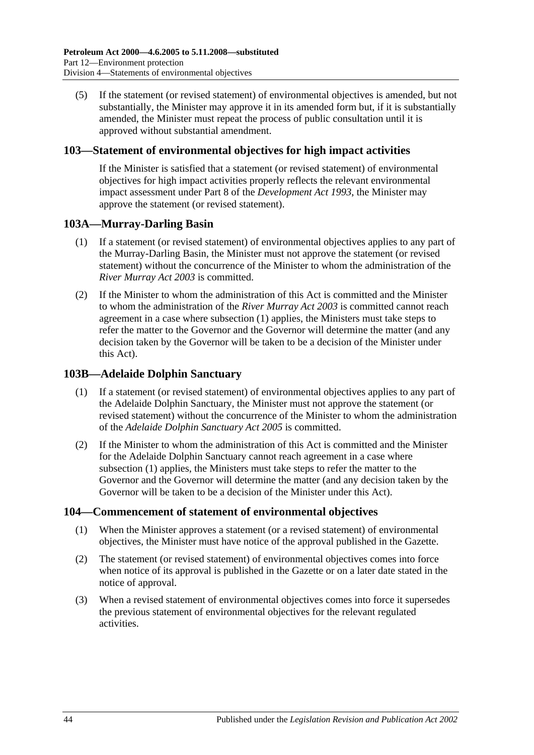(5) If the statement (or revised statement) of environmental objectives is amended, but not substantially, the Minister may approve it in its amended form but, if it is substantially amended, the Minister must repeat the process of public consultation until it is approved without substantial amendment.

## <span id="page-43-0"></span>**103—Statement of environmental objectives for high impact activities**

If the Minister is satisfied that a statement (or revised statement) of environmental objectives for high impact activities properly reflects the relevant environmental impact assessment under Part 8 of the *[Development Act](http://www.legislation.sa.gov.au/index.aspx?action=legref&type=act&legtitle=Development%20Act%201993) 1993*, the Minister may approve the statement (or revised statement).

## <span id="page-43-4"></span><span id="page-43-1"></span>**103A—Murray-Darling Basin**

- (1) If a statement (or revised statement) of environmental objectives applies to any part of the Murray-Darling Basin, the Minister must not approve the statement (or revised statement) without the concurrence of the Minister to whom the administration of the *[River Murray Act](http://www.legislation.sa.gov.au/index.aspx?action=legref&type=act&legtitle=River%20Murray%20Act%202003) 2003* is committed.
- (2) If the Minister to whom the administration of this Act is committed and the Minister to whom the administration of the *[River Murray Act](http://www.legislation.sa.gov.au/index.aspx?action=legref&type=act&legtitle=River%20Murray%20Act%202003) 2003* is committed cannot reach agreement in a case where [subsection](#page-43-4) (1) applies, the Ministers must take steps to refer the matter to the Governor and the Governor will determine the matter (and any decision taken by the Governor will be taken to be a decision of the Minister under this Act).

## <span id="page-43-5"></span><span id="page-43-2"></span>**103B—Adelaide Dolphin Sanctuary**

- (1) If a statement (or revised statement) of environmental objectives applies to any part of the Adelaide Dolphin Sanctuary, the Minister must not approve the statement (or revised statement) without the concurrence of the Minister to whom the administration of the *[Adelaide Dolphin Sanctuary Act](http://www.legislation.sa.gov.au/index.aspx?action=legref&type=act&legtitle=Adelaide%20Dolphin%20Sanctuary%20Act%202005) 2005* is committed.
- (2) If the Minister to whom the administration of this Act is committed and the Minister for the Adelaide Dolphin Sanctuary cannot reach agreement in a case where [subsection](#page-43-5) (1) applies, the Ministers must take steps to refer the matter to the Governor and the Governor will determine the matter (and any decision taken by the Governor will be taken to be a decision of the Minister under this Act).

## <span id="page-43-3"></span>**104—Commencement of statement of environmental objectives**

- (1) When the Minister approves a statement (or a revised statement) of environmental objectives, the Minister must have notice of the approval published in the Gazette.
- (2) The statement (or revised statement) of environmental objectives comes into force when notice of its approval is published in the Gazette or on a later date stated in the notice of approval.
- (3) When a revised statement of environmental objectives comes into force it supersedes the previous statement of environmental objectives for the relevant regulated activities.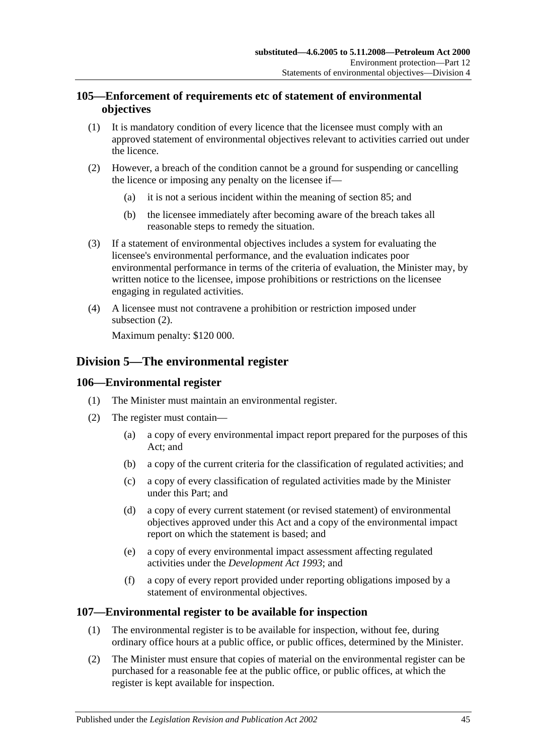## <span id="page-44-0"></span>**105—Enforcement of requirements etc of statement of environmental objectives**

- (1) It is mandatory condition of every licence that the licensee must comply with an approved statement of environmental objectives relevant to activities carried out under the licence.
- <span id="page-44-4"></span>(2) However, a breach of the condition cannot be a ground for suspending or cancelling the licence or imposing any penalty on the licensee if—
	- (a) it is not a serious incident within the meaning of [section](#page-36-2) 85; and
	- (b) the licensee immediately after becoming aware of the breach takes all reasonable steps to remedy the situation.
- (3) If a statement of environmental objectives includes a system for evaluating the licensee's environmental performance, and the evaluation indicates poor environmental performance in terms of the criteria of evaluation, the Minister may, by written notice to the licensee, impose prohibitions or restrictions on the licensee engaging in regulated activities.
- (4) A licensee must not contravene a prohibition or restriction imposed under [subsection](#page-44-4) (2).

Maximum penalty: \$120 000.

## <span id="page-44-1"></span>**Division 5—The environmental register**

#### <span id="page-44-2"></span>**106—Environmental register**

- (1) The Minister must maintain an environmental register.
- (2) The register must contain—
	- (a) a copy of every environmental impact report prepared for the purposes of this Act; and
	- (b) a copy of the current criteria for the classification of regulated activities; and
	- (c) a copy of every classification of regulated activities made by the Minister under this Part; and
	- (d) a copy of every current statement (or revised statement) of environmental objectives approved under this Act and a copy of the environmental impact report on which the statement is based; and
	- (e) a copy of every environmental impact assessment affecting regulated activities under the *[Development Act](http://www.legislation.sa.gov.au/index.aspx?action=legref&type=act&legtitle=Development%20Act%201993) 1993*; and
	- (f) a copy of every report provided under reporting obligations imposed by a statement of environmental objectives.

## <span id="page-44-3"></span>**107—Environmental register to be available for inspection**

- (1) The environmental register is to be available for inspection, without fee, during ordinary office hours at a public office, or public offices, determined by the Minister.
- (2) The Minister must ensure that copies of material on the environmental register can be purchased for a reasonable fee at the public office, or public offices, at which the register is kept available for inspection.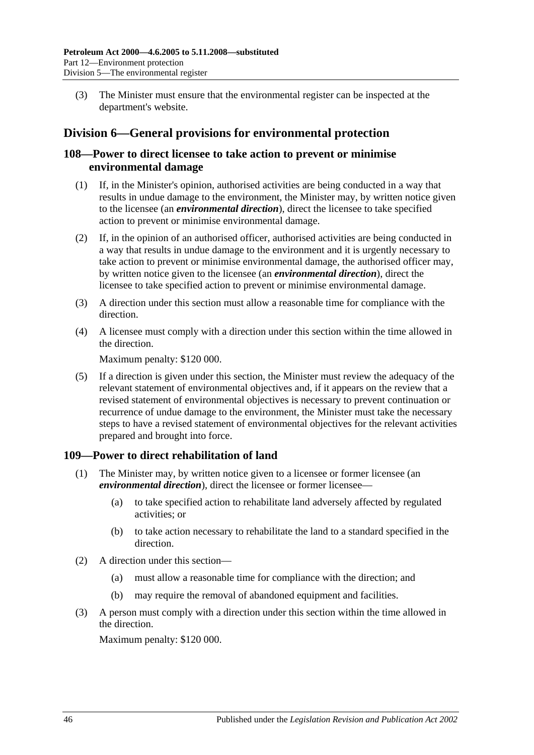(3) The Minister must ensure that the environmental register can be inspected at the department's website.

## <span id="page-45-0"></span>**Division 6—General provisions for environmental protection**

## <span id="page-45-1"></span>**108—Power to direct licensee to take action to prevent or minimise environmental damage**

- (1) If, in the Minister's opinion, authorised activities are being conducted in a way that results in undue damage to the environment, the Minister may, by written notice given to the licensee (an *environmental direction*), direct the licensee to take specified action to prevent or minimise environmental damage.
- (2) If, in the opinion of an authorised officer, authorised activities are being conducted in a way that results in undue damage to the environment and it is urgently necessary to take action to prevent or minimise environmental damage, the authorised officer may, by written notice given to the licensee (an *environmental direction*), direct the licensee to take specified action to prevent or minimise environmental damage.
- (3) A direction under this section must allow a reasonable time for compliance with the direction.
- (4) A licensee must comply with a direction under this section within the time allowed in the direction.

Maximum penalty: \$120 000.

(5) If a direction is given under this section, the Minister must review the adequacy of the relevant statement of environmental objectives and, if it appears on the review that a revised statement of environmental objectives is necessary to prevent continuation or recurrence of undue damage to the environment, the Minister must take the necessary steps to have a revised statement of environmental objectives for the relevant activities prepared and brought into force.

## <span id="page-45-2"></span>**109—Power to direct rehabilitation of land**

- (1) The Minister may, by written notice given to a licensee or former licensee (an *environmental direction*), direct the licensee or former licensee—
	- (a) to take specified action to rehabilitate land adversely affected by regulated activities; or
	- (b) to take action necessary to rehabilitate the land to a standard specified in the direction.
- (2) A direction under this section—
	- (a) must allow a reasonable time for compliance with the direction; and
	- (b) may require the removal of abandoned equipment and facilities.
- (3) A person must comply with a direction under this section within the time allowed in the direction.

Maximum penalty: \$120 000.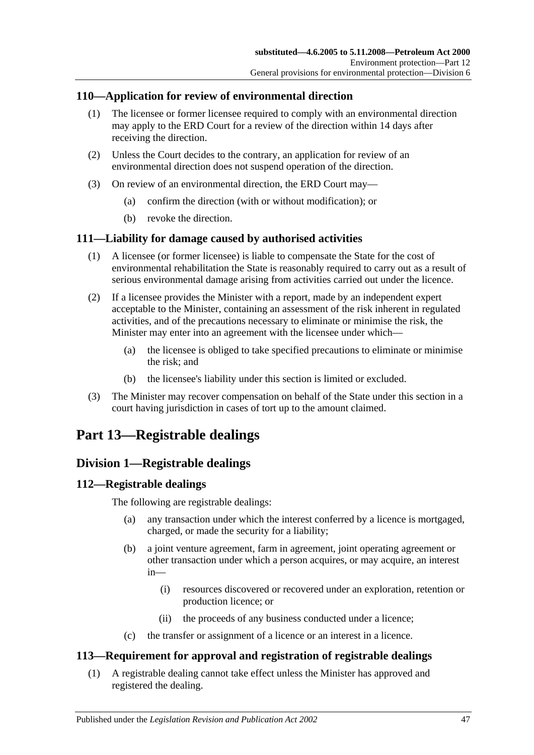## <span id="page-46-0"></span>**110—Application for review of environmental direction**

- (1) The licensee or former licensee required to comply with an environmental direction may apply to the ERD Court for a review of the direction within 14 days after receiving the direction.
- (2) Unless the Court decides to the contrary, an application for review of an environmental direction does not suspend operation of the direction.
- (3) On review of an environmental direction, the ERD Court may—
	- (a) confirm the direction (with or without modification); or
	- (b) revoke the direction.

## <span id="page-46-1"></span>**111—Liability for damage caused by authorised activities**

- (1) A licensee (or former licensee) is liable to compensate the State for the cost of environmental rehabilitation the State is reasonably required to carry out as a result of serious environmental damage arising from activities carried out under the licence.
- (2) If a licensee provides the Minister with a report, made by an independent expert acceptable to the Minister, containing an assessment of the risk inherent in regulated activities, and of the precautions necessary to eliminate or minimise the risk, the Minister may enter into an agreement with the licensee under which—
	- (a) the licensee is obliged to take specified precautions to eliminate or minimise the risk; and
	- (b) the licensee's liability under this section is limited or excluded.
- (3) The Minister may recover compensation on behalf of the State under this section in a court having jurisdiction in cases of tort up to the amount claimed.

## <span id="page-46-2"></span>**Part 13—Registrable dealings**

## <span id="page-46-3"></span>**Division 1—Registrable dealings**

## <span id="page-46-4"></span>**112—Registrable dealings**

The following are registrable dealings:

- (a) any transaction under which the interest conferred by a licence is mortgaged, charged, or made the security for a liability;
- (b) a joint venture agreement, farm in agreement, joint operating agreement or other transaction under which a person acquires, or may acquire, an interest in—
	- (i) resources discovered or recovered under an exploration, retention or production licence; or
	- (ii) the proceeds of any business conducted under a licence;
- (c) the transfer or assignment of a licence or an interest in a licence.

## <span id="page-46-5"></span>**113—Requirement for approval and registration of registrable dealings**

(1) A registrable dealing cannot take effect unless the Minister has approved and registered the dealing.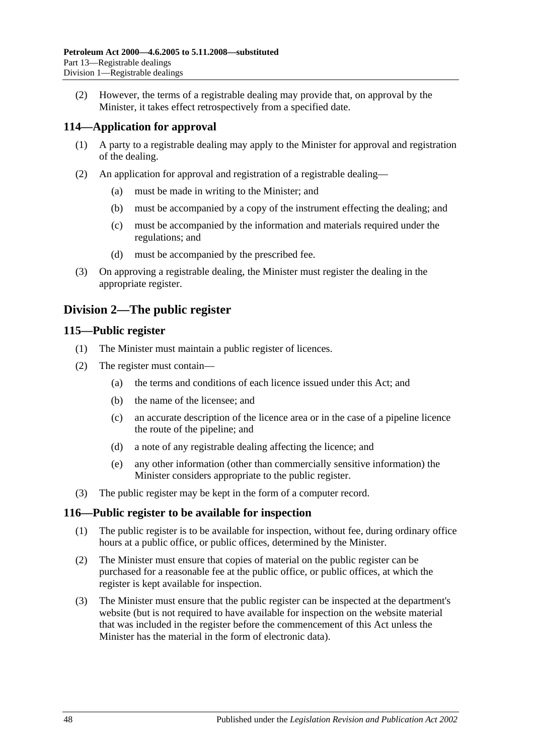(2) However, the terms of a registrable dealing may provide that, on approval by the Minister, it takes effect retrospectively from a specified date.

## <span id="page-47-0"></span>**114—Application for approval**

- (1) A party to a registrable dealing may apply to the Minister for approval and registration of the dealing.
- (2) An application for approval and registration of a registrable dealing—
	- (a) must be made in writing to the Minister; and
	- (b) must be accompanied by a copy of the instrument effecting the dealing; and
	- (c) must be accompanied by the information and materials required under the regulations; and
	- (d) must be accompanied by the prescribed fee.
- (3) On approving a registrable dealing, the Minister must register the dealing in the appropriate register.

## <span id="page-47-1"></span>**Division 2—The public register**

## <span id="page-47-2"></span>**115—Public register**

- (1) The Minister must maintain a public register of licences.
- (2) The register must contain—
	- (a) the terms and conditions of each licence issued under this Act; and
	- (b) the name of the licensee; and
	- (c) an accurate description of the licence area or in the case of a pipeline licence the route of the pipeline; and
	- (d) a note of any registrable dealing affecting the licence; and
	- (e) any other information (other than commercially sensitive information) the Minister considers appropriate to the public register.
- (3) The public register may be kept in the form of a computer record.

## <span id="page-47-3"></span>**116—Public register to be available for inspection**

- (1) The public register is to be available for inspection, without fee, during ordinary office hours at a public office, or public offices, determined by the Minister.
- (2) The Minister must ensure that copies of material on the public register can be purchased for a reasonable fee at the public office, or public offices, at which the register is kept available for inspection.
- (3) The Minister must ensure that the public register can be inspected at the department's website (but is not required to have available for inspection on the website material that was included in the register before the commencement of this Act unless the Minister has the material in the form of electronic data).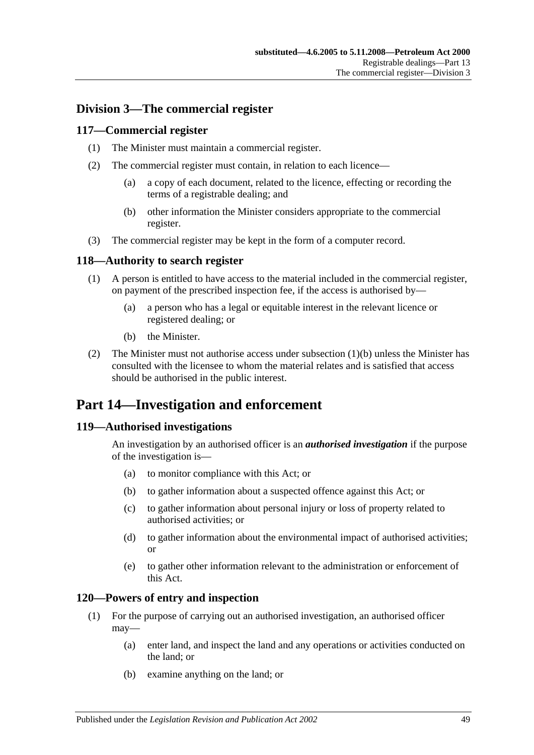## <span id="page-48-0"></span>**Division 3—The commercial register**

#### <span id="page-48-1"></span>**117—Commercial register**

- (1) The Minister must maintain a commercial register.
- (2) The commercial register must contain, in relation to each licence—
	- (a) a copy of each document, related to the licence, effecting or recording the terms of a registrable dealing; and
	- (b) other information the Minister considers appropriate to the commercial register.
- (3) The commercial register may be kept in the form of a computer record.

#### <span id="page-48-2"></span>**118—Authority to search register**

- (1) A person is entitled to have access to the material included in the commercial register, on payment of the prescribed inspection fee, if the access is authorised by—
	- (a) a person who has a legal or equitable interest in the relevant licence or registered dealing; or
	- (b) the Minister.
- <span id="page-48-6"></span>(2) The Minister must not authorise access under [subsection](#page-48-6)  $(1)(b)$  unless the Minister has consulted with the licensee to whom the material relates and is satisfied that access should be authorised in the public interest.

## <span id="page-48-3"></span>**Part 14—Investigation and enforcement**

#### <span id="page-48-4"></span>**119—Authorised investigations**

An investigation by an authorised officer is an *authorised investigation* if the purpose of the investigation is—

- (a) to monitor compliance with this Act; or
- (b) to gather information about a suspected offence against this Act; or
- (c) to gather information about personal injury or loss of property related to authorised activities; or
- (d) to gather information about the environmental impact of authorised activities; or
- (e) to gather other information relevant to the administration or enforcement of this Act.

#### <span id="page-48-5"></span>**120—Powers of entry and inspection**

- (1) For the purpose of carrying out an authorised investigation, an authorised officer may—
	- (a) enter land, and inspect the land and any operations or activities conducted on the land; or
	- (b) examine anything on the land; or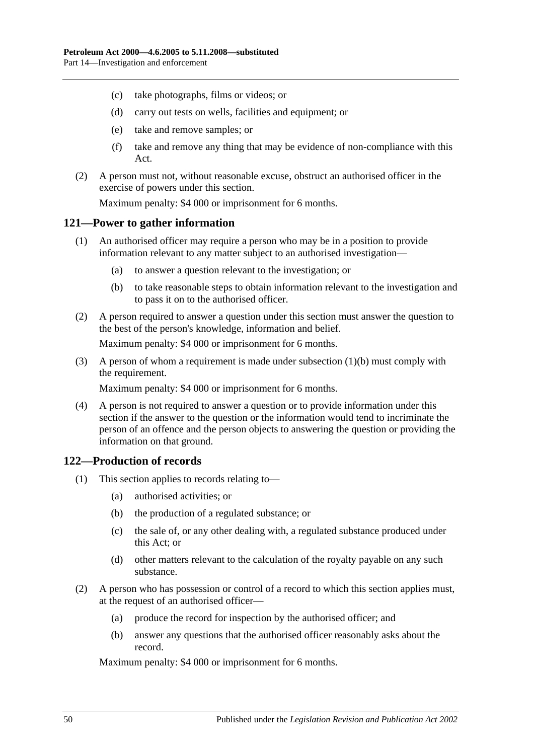- (c) take photographs, films or videos; or
- (d) carry out tests on wells, facilities and equipment; or
- (e) take and remove samples; or
- (f) take and remove any thing that may be evidence of non-compliance with this Act.
- (2) A person must not, without reasonable excuse, obstruct an authorised officer in the exercise of powers under this section.

Maximum penalty: \$4 000 or imprisonment for 6 months.

#### <span id="page-49-0"></span>**121—Power to gather information**

- (1) An authorised officer may require a person who may be in a position to provide information relevant to any matter subject to an authorised investigation—
	- (a) to answer a question relevant to the investigation; or
	- (b) to take reasonable steps to obtain information relevant to the investigation and to pass it on to the authorised officer.
- <span id="page-49-2"></span>(2) A person required to answer a question under this section must answer the question to the best of the person's knowledge, information and belief.

Maximum penalty: \$4 000 or imprisonment for 6 months.

(3) A person of whom a requirement is made under [subsection](#page-49-2) (1)(b) must comply with the requirement.

Maximum penalty: \$4 000 or imprisonment for 6 months.

(4) A person is not required to answer a question or to provide information under this section if the answer to the question or the information would tend to incriminate the person of an offence and the person objects to answering the question or providing the information on that ground.

## <span id="page-49-1"></span>**122—Production of records**

- (1) This section applies to records relating to—
	- (a) authorised activities; or
	- (b) the production of a regulated substance; or
	- (c) the sale of, or any other dealing with, a regulated substance produced under this Act; or
	- (d) other matters relevant to the calculation of the royalty payable on any such substance.
- (2) A person who has possession or control of a record to which this section applies must, at the request of an authorised officer—
	- (a) produce the record for inspection by the authorised officer; and
	- (b) answer any questions that the authorised officer reasonably asks about the record.

Maximum penalty: \$4 000 or imprisonment for 6 months.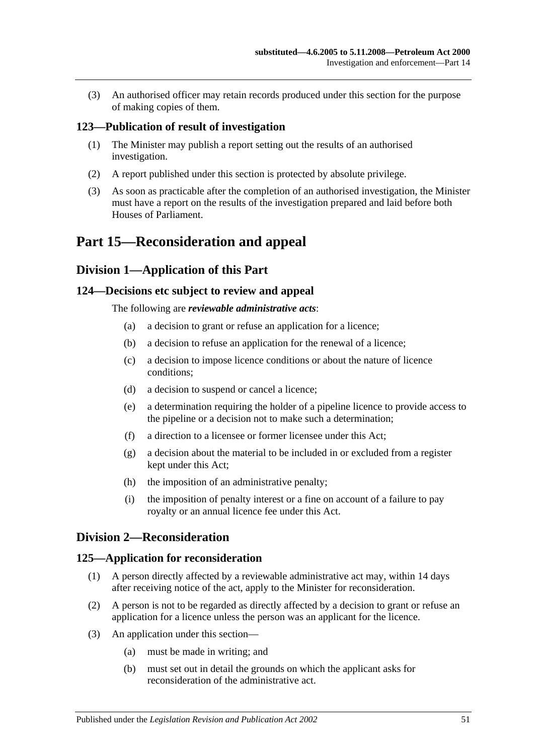(3) An authorised officer may retain records produced under this section for the purpose of making copies of them.

#### <span id="page-50-0"></span>**123—Publication of result of investigation**

- (1) The Minister may publish a report setting out the results of an authorised investigation.
- (2) A report published under this section is protected by absolute privilege.
- (3) As soon as practicable after the completion of an authorised investigation, the Minister must have a report on the results of the investigation prepared and laid before both Houses of Parliament.

## <span id="page-50-2"></span><span id="page-50-1"></span>**Part 15—Reconsideration and appeal**

## **Division 1—Application of this Part**

#### <span id="page-50-3"></span>**124—Decisions etc subject to review and appeal**

The following are *reviewable administrative acts*:

- (a) a decision to grant or refuse an application for a licence;
- (b) a decision to refuse an application for the renewal of a licence;
- (c) a decision to impose licence conditions or about the nature of licence conditions;
- (d) a decision to suspend or cancel a licence;
- (e) a determination requiring the holder of a pipeline licence to provide access to the pipeline or a decision not to make such a determination;
- (f) a direction to a licensee or former licensee under this Act;
- (g) a decision about the material to be included in or excluded from a register kept under this Act;
- (h) the imposition of an administrative penalty;
- (i) the imposition of penalty interest or a fine on account of a failure to pay royalty or an annual licence fee under this Act.

## <span id="page-50-4"></span>**Division 2—Reconsideration**

#### <span id="page-50-5"></span>**125—Application for reconsideration**

- (1) A person directly affected by a reviewable administrative act may, within 14 days after receiving notice of the act, apply to the Minister for reconsideration.
- (2) A person is not to be regarded as directly affected by a decision to grant or refuse an application for a licence unless the person was an applicant for the licence.
- (3) An application under this section—
	- (a) must be made in writing; and
	- (b) must set out in detail the grounds on which the applicant asks for reconsideration of the administrative act.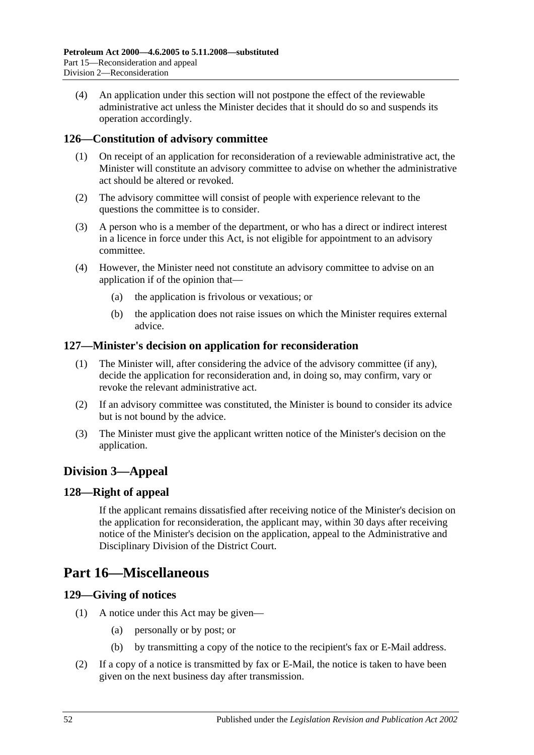(4) An application under this section will not postpone the effect of the reviewable administrative act unless the Minister decides that it should do so and suspends its operation accordingly.

## <span id="page-51-0"></span>**126—Constitution of advisory committee**

- (1) On receipt of an application for reconsideration of a reviewable administrative act, the Minister will constitute an advisory committee to advise on whether the administrative act should be altered or revoked.
- (2) The advisory committee will consist of people with experience relevant to the questions the committee is to consider.
- (3) A person who is a member of the department, or who has a direct or indirect interest in a licence in force under this Act, is not eligible for appointment to an advisory committee.
- (4) However, the Minister need not constitute an advisory committee to advise on an application if of the opinion that—
	- (a) the application is frivolous or vexatious; or
	- (b) the application does not raise issues on which the Minister requires external advice.

#### <span id="page-51-1"></span>**127—Minister's decision on application for reconsideration**

- (1) The Minister will, after considering the advice of the advisory committee (if any), decide the application for reconsideration and, in doing so, may confirm, vary or revoke the relevant administrative act.
- (2) If an advisory committee was constituted, the Minister is bound to consider its advice but is not bound by the advice.
- (3) The Minister must give the applicant written notice of the Minister's decision on the application.

## <span id="page-51-2"></span>**Division 3—Appeal**

## <span id="page-51-3"></span>**128—Right of appeal**

If the applicant remains dissatisfied after receiving notice of the Minister's decision on the application for reconsideration, the applicant may, within 30 days after receiving notice of the Minister's decision on the application, appeal to the Administrative and Disciplinary Division of the District Court.

## <span id="page-51-4"></span>**Part 16—Miscellaneous**

#### <span id="page-51-5"></span>**129—Giving of notices**

- (1) A notice under this Act may be given—
	- (a) personally or by post; or
	- (b) by transmitting a copy of the notice to the recipient's fax or E-Mail address.
- (2) If a copy of a notice is transmitted by fax or E-Mail, the notice is taken to have been given on the next business day after transmission.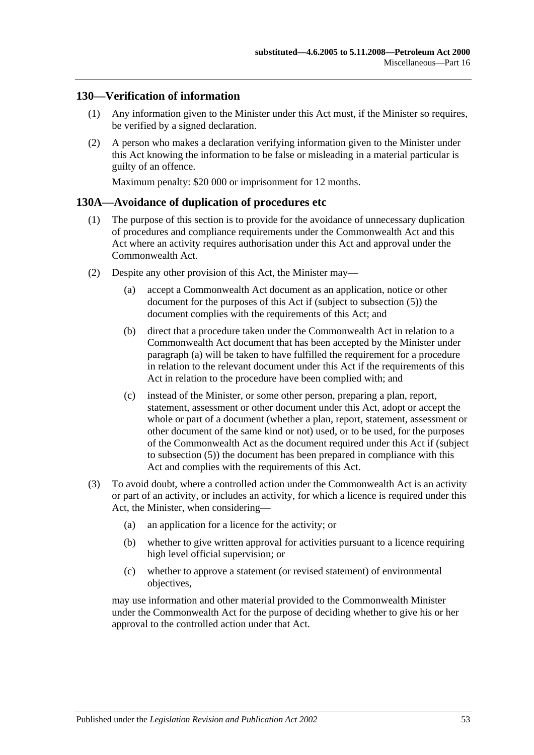## <span id="page-52-0"></span>**130—Verification of information**

- (1) Any information given to the Minister under this Act must, if the Minister so requires, be verified by a signed declaration.
- (2) A person who makes a declaration verifying information given to the Minister under this Act knowing the information to be false or misleading in a material particular is guilty of an offence.

Maximum penalty: \$20 000 or imprisonment for 12 months.

#### <span id="page-52-1"></span>**130A—Avoidance of duplication of procedures etc**

- (1) The purpose of this section is to provide for the avoidance of unnecessary duplication of procedures and compliance requirements under the Commonwealth Act and this Act where an activity requires authorisation under this Act and approval under the Commonwealth Act.
- <span id="page-52-4"></span><span id="page-52-3"></span><span id="page-52-2"></span>(2) Despite any other provision of this Act, the Minister may—
	- (a) accept a Commonwealth Act document as an application, notice or other document for the purposes of this Act if (subject to [subsection](#page-53-0) (5)) the document complies with the requirements of this Act; and
	- (b) direct that a procedure taken under the Commonwealth Act in relation to a Commonwealth Act document that has been accepted by the Minister under [paragraph](#page-52-2) (a) will be taken to have fulfilled the requirement for a procedure in relation to the relevant document under this Act if the requirements of this Act in relation to the procedure have been complied with; and
	- (c) instead of the Minister, or some other person, preparing a plan, report, statement, assessment or other document under this Act, adopt or accept the whole or part of a document (whether a plan, report, statement, assessment or other document of the same kind or not) used, or to be used, for the purposes of the Commonwealth Act as the document required under this Act if (subject to [subsection](#page-53-0) (5)) the document has been prepared in compliance with this Act and complies with the requirements of this Act.
- (3) To avoid doubt, where a controlled action under the Commonwealth Act is an activity or part of an activity, or includes an activity, for which a licence is required under this Act, the Minister, when considering—
	- (a) an application for a licence for the activity; or
	- (b) whether to give written approval for activities pursuant to a licence requiring high level official supervision; or
	- (c) whether to approve a statement (or revised statement) of environmental objectives,

may use information and other material provided to the Commonwealth Minister under the Commonwealth Act for the purpose of deciding whether to give his or her approval to the controlled action under that Act.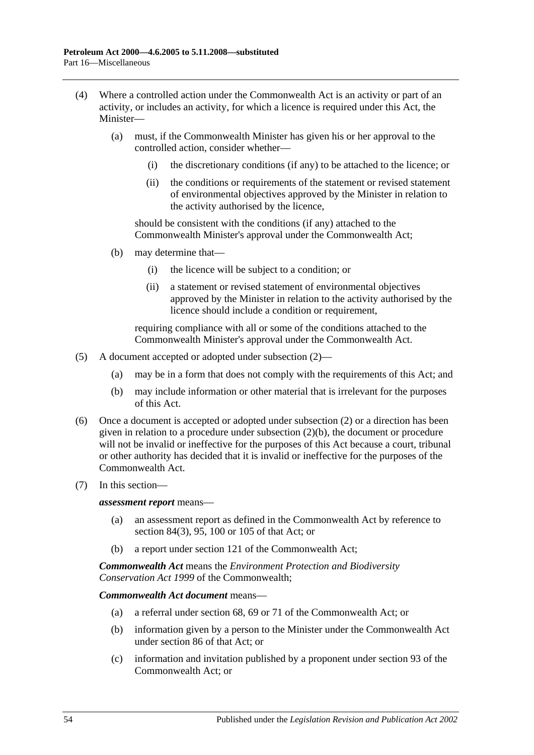- (4) Where a controlled action under the Commonwealth Act is an activity or part of an activity, or includes an activity, for which a licence is required under this Act, the Minister—
	- (a) must, if the Commonwealth Minister has given his or her approval to the controlled action, consider whether—
		- (i) the discretionary conditions (if any) to be attached to the licence; or
		- (ii) the conditions or requirements of the statement or revised statement of environmental objectives approved by the Minister in relation to the activity authorised by the licence,

should be consistent with the conditions (if any) attached to the Commonwealth Minister's approval under the Commonwealth Act;

- (b) may determine that—
	- (i) the licence will be subject to a condition; or
	- (ii) a statement or revised statement of environmental objectives approved by the Minister in relation to the activity authorised by the licence should include a condition or requirement,

requiring compliance with all or some of the conditions attached to the Commonwealth Minister's approval under the Commonwealth Act.

- <span id="page-53-0"></span>(5) A document accepted or adopted under [subsection](#page-52-3) (2)—
	- (a) may be in a form that does not comply with the requirements of this Act; and
	- (b) may include information or other material that is irrelevant for the purposes of this Act.
- (6) Once a document is accepted or adopted under [subsection](#page-52-3) (2) or a direction has been given in relation to a procedure under [subsection](#page-52-4) (2)(b), the document or procedure will not be invalid or ineffective for the purposes of this Act because a court, tribunal or other authority has decided that it is invalid or ineffective for the purposes of the Commonwealth Act.
- (7) In this section—

*assessment report* means—

- (a) an assessment report as defined in the Commonwealth Act by reference to section 84(3), 95, 100 or 105 of that Act; or
- (b) a report under section 121 of the Commonwealth Act;

*Commonwealth Act* means the *Environment Protection and Biodiversity Conservation Act 1999* of the Commonwealth;

*Commonwealth Act document* means—

- (a) a referral under section 68, 69 or 71 of the Commonwealth Act; or
- (b) information given by a person to the Minister under the Commonwealth Act under section 86 of that Act; or
- (c) information and invitation published by a proponent under section 93 of the Commonwealth Act; or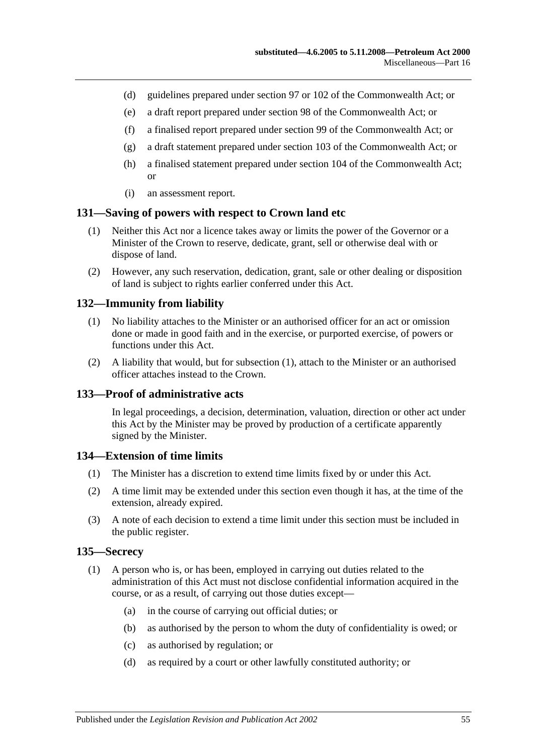- (d) guidelines prepared under section 97 or 102 of the Commonwealth Act; or
- (e) a draft report prepared under section 98 of the Commonwealth Act; or
- (f) a finalised report prepared under section 99 of the Commonwealth Act; or
- (g) a draft statement prepared under section 103 of the Commonwealth Act; or
- (h) a finalised statement prepared under section 104 of the Commonwealth Act; or
- (i) an assessment report.

#### <span id="page-54-0"></span>**131—Saving of powers with respect to Crown land etc**

- (1) Neither this Act nor a licence takes away or limits the power of the Governor or a Minister of the Crown to reserve, dedicate, grant, sell or otherwise deal with or dispose of land.
- (2) However, any such reservation, dedication, grant, sale or other dealing or disposition of land is subject to rights earlier conferred under this Act.

#### <span id="page-54-5"></span><span id="page-54-1"></span>**132—Immunity from liability**

- (1) No liability attaches to the Minister or an authorised officer for an act or omission done or made in good faith and in the exercise, or purported exercise, of powers or functions under this Act.
- (2) A liability that would, but for [subsection](#page-54-5) (1), attach to the Minister or an authorised officer attaches instead to the Crown.

#### <span id="page-54-2"></span>**133—Proof of administrative acts**

In legal proceedings, a decision, determination, valuation, direction or other act under this Act by the Minister may be proved by production of a certificate apparently signed by the Minister.

#### <span id="page-54-3"></span>**134—Extension of time limits**

- (1) The Minister has a discretion to extend time limits fixed by or under this Act.
- (2) A time limit may be extended under this section even though it has, at the time of the extension, already expired.
- (3) A note of each decision to extend a time limit under this section must be included in the public register.

#### <span id="page-54-6"></span><span id="page-54-4"></span>**135—Secrecy**

- (1) A person who is, or has been, employed in carrying out duties related to the administration of this Act must not disclose confidential information acquired in the course, or as a result, of carrying out those duties except—
	- (a) in the course of carrying out official duties; or
	- (b) as authorised by the person to whom the duty of confidentiality is owed; or
	- (c) as authorised by regulation; or
	- (d) as required by a court or other lawfully constituted authority; or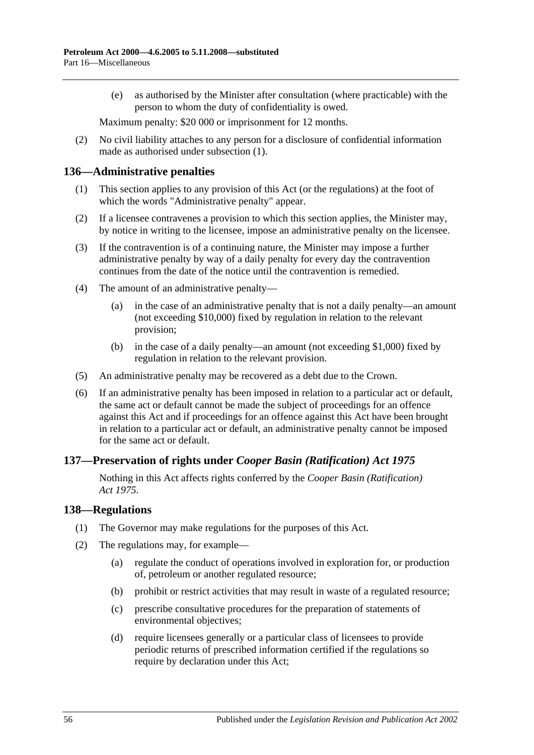(e) as authorised by the Minister after consultation (where practicable) with the person to whom the duty of confidentiality is owed.

Maximum penalty: \$20 000 or imprisonment for 12 months.

(2) No civil liability attaches to any person for a disclosure of confidential information made as authorised under [subsection](#page-54-6) (1).

#### <span id="page-55-0"></span>**136—Administrative penalties**

- (1) This section applies to any provision of this Act (or the regulations) at the foot of which the words "Administrative penalty" appear.
- (2) If a licensee contravenes a provision to which this section applies, the Minister may, by notice in writing to the licensee, impose an administrative penalty on the licensee.
- (3) If the contravention is of a continuing nature, the Minister may impose a further administrative penalty by way of a daily penalty for every day the contravention continues from the date of the notice until the contravention is remedied.
- (4) The amount of an administrative penalty—
	- (a) in the case of an administrative penalty that is not a daily penalty—an amount (not exceeding \$10,000) fixed by regulation in relation to the relevant provision;
	- (b) in the case of a daily penalty—an amount (not exceeding \$1,000) fixed by regulation in relation to the relevant provision.
- (5) An administrative penalty may be recovered as a debt due to the Crown.
- (6) If an administrative penalty has been imposed in relation to a particular act or default, the same act or default cannot be made the subject of proceedings for an offence against this Act and if proceedings for an offence against this Act have been brought in relation to a particular act or default, an administrative penalty cannot be imposed for the same act or default.

## <span id="page-55-1"></span>**137—Preservation of rights under** *Cooper Basin (Ratification) Act 1975*

Nothing in this Act affects rights conferred by the *[Cooper Basin \(Ratification\)](http://www.legislation.sa.gov.au/index.aspx?action=legref&type=act&legtitle=Cooper%20Basin%20(Ratification)%20Act%201975)  Act [1975](http://www.legislation.sa.gov.au/index.aspx?action=legref&type=act&legtitle=Cooper%20Basin%20(Ratification)%20Act%201975)*.

#### <span id="page-55-2"></span>**138—Regulations**

- (1) The Governor may make regulations for the purposes of this Act.
- (2) The regulations may, for example—
	- (a) regulate the conduct of operations involved in exploration for, or production of, petroleum or another regulated resource;
	- (b) prohibit or restrict activities that may result in waste of a regulated resource;
	- (c) prescribe consultative procedures for the preparation of statements of environmental objectives;
	- (d) require licensees generally or a particular class of licensees to provide periodic returns of prescribed information certified if the regulations so require by declaration under this Act;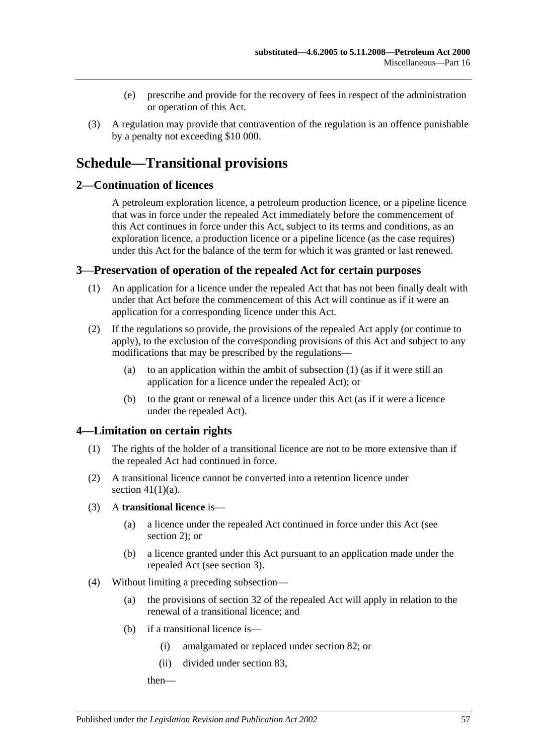- (e) prescribe and provide for the recovery of fees in respect of the administration or operation of this Act.
- (3) A regulation may provide that contravention of the regulation is an offence punishable by a penalty not exceeding \$10 000.

## <span id="page-56-0"></span>**Schedule—Transitional provisions**

#### <span id="page-56-1"></span>**2—Continuation of licences**

A petroleum exploration licence, a petroleum production licence, or a pipeline licence that was in force under the repealed Act immediately before the commencement of this Act continues in force under this Act, subject to its terms and conditions, as an exploration licence, a production licence or a pipeline licence (as the case requires) under this Act for the balance of the term for which it was granted or last renewed.

#### <span id="page-56-4"></span><span id="page-56-2"></span>**3—Preservation of operation of the repealed Act for certain purposes**

- (1) An application for a licence under the repealed Act that has not been finally dealt with under that Act before the commencement of this Act will continue as if it were an application for a corresponding licence under this Act.
- (2) If the regulations so provide, the provisions of the repealed Act apply (or continue to apply), to the exclusion of the corresponding provisions of this Act and subject to any modifications that may be prescribed by the regulations—
	- (a) to an application within the ambit of [subsection](#page-56-4) (1) (as if it were still an application for a licence under the repealed Act); or
	- (b) to the grant or renewal of a licence under this Act (as if it were a licence under the repealed Act).

## <span id="page-56-3"></span>**4—Limitation on certain rights**

- (1) The rights of the holder of a transitional licence are not to be more extensive than if the repealed Act had continued in force.
- (2) A transitional licence cannot be converted into a retention licence under section  $41(1)(a)$ .
- (3) A **transitional licence** is—
	- (a) a licence under the repealed Act continued in force under this Act (see [section](#page-56-1) 2); or
	- (b) a licence granted under this Act pursuant to an application made under the repealed Act (see [section](#page-56-2) 3).
- <span id="page-56-5"></span>(4) Without limiting a preceding subsection—
	- (a) the provisions of section 32 of the repealed Act will apply in relation to the renewal of a transitional licence; and
	- (b) if a transitional licence is—
		- (i) amalgamated or replaced under [section](#page-35-3) 82; or
		- (ii) divided under [section](#page-35-4) 83,

then—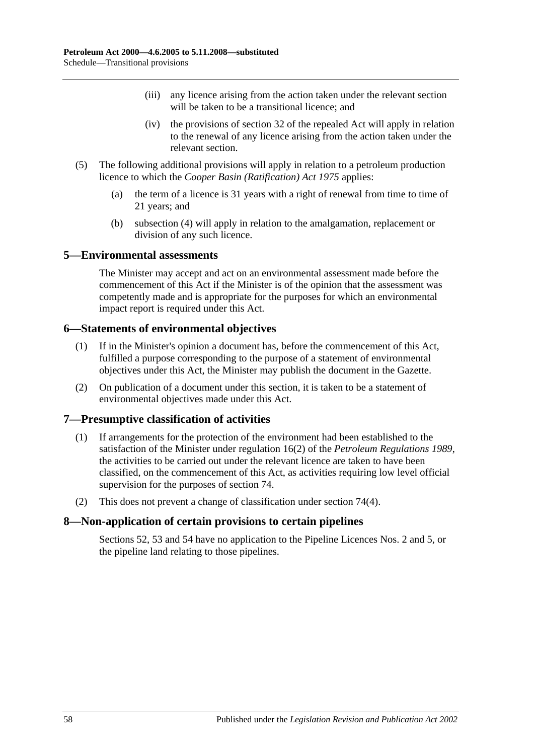- (iii) any licence arising from the action taken under the relevant section will be taken to be a transitional licence; and
- (iv) the provisions of section 32 of the repealed Act will apply in relation to the renewal of any licence arising from the action taken under the relevant section.
- (5) The following additional provisions will apply in relation to a petroleum production licence to which the *[Cooper Basin \(Ratification\) Act](http://www.legislation.sa.gov.au/index.aspx?action=legref&type=act&legtitle=Cooper%20Basin%20(Ratification)%20Act%201975) 1975* applies:
	- (a) the term of a licence is 31 years with a right of renewal from time to time of 21 years; and
	- (b) [subsection](#page-56-5) (4) will apply in relation to the amalgamation, replacement or division of any such licence.

#### <span id="page-57-0"></span>**5—Environmental assessments**

The Minister may accept and act on an environmental assessment made before the commencement of this Act if the Minister is of the opinion that the assessment was competently made and is appropriate for the purposes for which an environmental impact report is required under this Act.

#### <span id="page-57-1"></span>**6—Statements of environmental objectives**

- (1) If in the Minister's opinion a document has, before the commencement of this Act, fulfilled a purpose corresponding to the purpose of a statement of environmental objectives under this Act, the Minister may publish the document in the Gazette.
- (2) On publication of a document under this section, it is taken to be a statement of environmental objectives made under this Act.

#### <span id="page-57-2"></span>**7—Presumptive classification of activities**

- (1) If arrangements for the protection of the environment had been established to the satisfaction of the Minister under regulation 16(2) of the *[Petroleum Regulations](http://www.legislation.sa.gov.au/index.aspx?action=legref&type=subordleg&legtitle=Petroleum%20Regulations%201989) 1989*, the activities to be carried out under the relevant licence are taken to have been classified, on the commencement of this Act, as activities requiring low level official supervision for the purposes of [section](#page-32-3) 74.
- (2) This does not prevent a change of classification under [section](#page-32-5) 74(4).

## <span id="page-57-3"></span>**8—Non-application of certain provisions to certain pipelines**

[Sections](#page-25-1) 52, [53](#page-25-2) and [54](#page-25-3) have no application to the Pipeline Licences Nos. 2 and 5, or the pipeline land relating to those pipelines.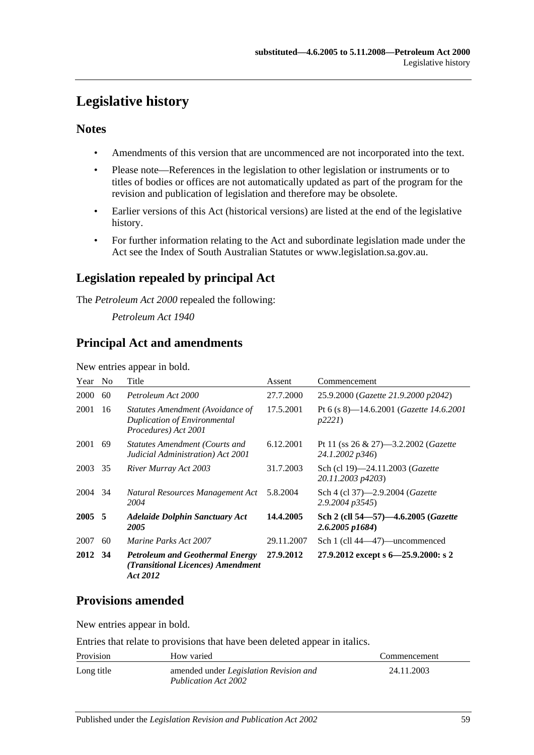## <span id="page-58-0"></span>**Legislative history**

## **Notes**

- Amendments of this version that are uncommenced are not incorporated into the text.
- Please note—References in the legislation to other legislation or instruments or to titles of bodies or offices are not automatically updated as part of the program for the revision and publication of legislation and therefore may be obsolete.
- Earlier versions of this Act (historical versions) are listed at the end of the legislative history.
- For further information relating to the Act and subordinate legislation made under the Act see the Index of South Australian Statutes or www.legislation.sa.gov.au.

## **Legislation repealed by principal Act**

The *Petroleum Act 2000* repealed the following:

*Petroleum Act 1940*

## **Principal Act and amendments**

New entries appear in bold.

| Year   | N <sub>0</sub> | Title                                                                                           | Assent     | Commencement                                                        |
|--------|----------------|-------------------------------------------------------------------------------------------------|------------|---------------------------------------------------------------------|
| 2000   | 60             | Petroleum Act 2000                                                                              | 27.7.2000  | 25.9.2000 (Gazette 21.9.2000 p2042)                                 |
| 2001   | 16             | Statutes Amendment (Avoidance of<br><b>Duplication of Environmental</b><br>Procedures) Act 2001 | 17.5.2001  | Pt 6 (s 8)—14.6.2001 ( <i>Gazette 14.6.2001</i><br>p2221            |
| 2001   | 69             | <b>Statutes Amendment (Courts and</b><br>Judicial Administration) Act 2001                      | 6.12.2001  | Pt 11 (ss $26 \& 27$ )-3.2.2002 ( <i>Gazette</i><br>24.1.2002 p346) |
| 2003   | 35             | River Murray Act 2003                                                                           | 31.7.2003  | Sch (cl 19)-24.11.2003 (Gazette<br>20.11.2003 p4203)                |
| 2004   | 34             | Natural Resources Management Act<br>2004                                                        | 5.8.2004   | Sch 4 (cl 37)-2.9.2004 ( <i>Gazette</i><br>$2.9.2004$ $p3545$       |
| 2005 5 |                | <b>Adelaide Dolphin Sanctuary Act</b><br>2005                                                   | 14.4.2005  | Sch 2 (cll 54–57)–4.6.2005 (Gazette<br>$2.6.2005$ p1684)            |
| 2007   | 60             | <i>Marine Parks Act 2007</i>                                                                    | 29.11.2007 | Sch 1 (cll 44—47)—uncommenced                                       |
| 2012   | 34             | <b>Petroleum and Geothermal Energy</b><br>(Transitional Licences) Amendment<br>Act 2012         | 27.9.2012  | 27.9.2012 except s $6 - 25.9.2000$ : s 2                            |

## **Provisions amended**

New entries appear in bold.

Entries that relate to provisions that have been deleted appear in italics.

| Provision  | How varied                                                                   | Commencement |
|------------|------------------------------------------------------------------------------|--------------|
| Long title | amended under <i>Legislation Revision and</i><br><b>Publication Act 2002</b> | 24.11.2003   |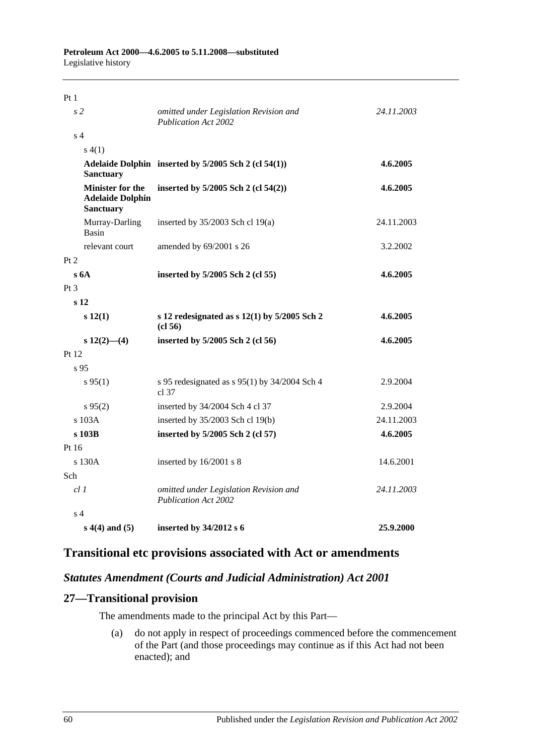| Pt1                                                                    |                                                                       |            |
|------------------------------------------------------------------------|-----------------------------------------------------------------------|------------|
| s <sub>2</sub>                                                         | omitted under Legislation Revision and<br><b>Publication Act 2002</b> | 24.11.2003 |
| s <sub>4</sub>                                                         |                                                                       |            |
| s(4(1))                                                                |                                                                       |            |
| <b>Sanctuary</b>                                                       | Adelaide Dolphin inserted by 5/2005 Sch 2 (cl 54(1))                  | 4.6.2005   |
| <b>Minister for the</b><br><b>Adelaide Dolphin</b><br><b>Sanctuary</b> | inserted by 5/2005 Sch 2 (cl 54(2))                                   | 4.6.2005   |
| Murray-Darling<br>Basin                                                | inserted by $35/2003$ Sch cl 19(a)                                    | 24.11.2003 |
| relevant court                                                         | amended by 69/2001 s 26                                               | 3.2.2002   |
| Pt 2                                                                   |                                                                       |            |
| s6A                                                                    | inserted by 5/2005 Sch 2 (cl 55)                                      | 4.6.2005   |
| Pt <sub>3</sub>                                                        |                                                                       |            |
| s <sub>12</sub>                                                        |                                                                       |            |
| s 12(1)                                                                | s 12 redesignated as $s$ 12(1) by 5/2005 Sch 2<br>(cl 56)             | 4.6.2005   |
| $s\ 12(2)$ —(4)                                                        | inserted by 5/2005 Sch 2 (cl 56)                                      | 4.6.2005   |
| Pt 12                                                                  |                                                                       |            |
| s <sub>95</sub>                                                        |                                                                       |            |
| $s\,95(1)$                                                             | s 95 redesignated as s 95(1) by 34/2004 Sch 4<br>cl 37                | 2.9.2004   |
| $s\,95(2)$                                                             | inserted by 34/2004 Sch 4 cl 37                                       | 2.9.2004   |
| s 103A                                                                 | inserted by $35/2003$ Sch cl 19(b)                                    | 24.11.2003 |
| s 103B                                                                 | inserted by 5/2005 Sch 2 (cl 57)                                      | 4.6.2005   |
| Pt 16                                                                  |                                                                       |            |
| s 130A                                                                 | inserted by 16/2001 s 8                                               | 14.6.2001  |
| Sch                                                                    |                                                                       |            |
| cl 1                                                                   | omitted under Legislation Revision and<br><b>Publication Act 2002</b> | 24.11.2003 |
| s <sub>4</sub>                                                         |                                                                       |            |
| $s(4(4)$ and $(5)$                                                     | inserted by 34/2012 s 6                                               | 25.9.2000  |

## **Transitional etc provisions associated with Act or amendments**

## *Statutes Amendment (Courts and Judicial Administration) Act 2001*

## **27—Transitional provision**

The amendments made to the principal Act by this Part—

(a) do not apply in respect of proceedings commenced before the commencement of the Part (and those proceedings may continue as if this Act had not been enacted); and